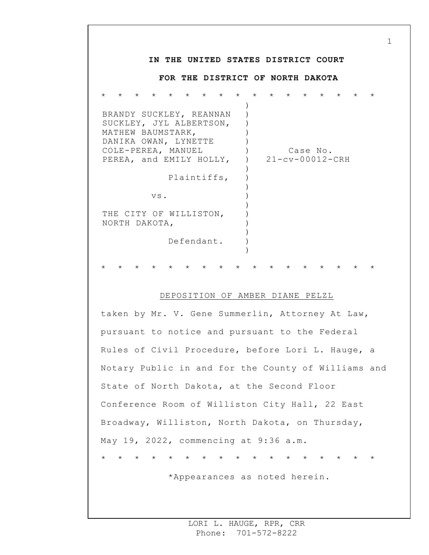## **IN THE UNITED STATES DISTRICT COURT FOR THE DISTRICT OF NORTH DAKOTA** \* \* \* \* \* \* \* \* \* \* \* \* \* \* \* \* \* BRANDY SUCKLEY, REANNAN SUCKLEY, JYL ALBERTSON, MATHEW BAUMSTARK, DANIKA OWAN, LYNETTE COLE-PEREA, MANUEL PEREA, and EMILY HOLLY, Plaintiffs, vs. THE CITY OF WILLISTON, NORTH DAKOTA, Defendant. ) ) ) )  $\left( \right)$  $)$  $\left( \right)$ )  $\left( \right)$ ) ) ) ) ) ) ) ) Case No. 21-cv-00012-CRH \* \* \* \* \* \* \* \* \* \* \* \* \* \* \* \* \*

1

## DEPOSITION OF AMBER DIANE PELZL

taken by Mr. V. Gene Summerlin, Attorney At Law, pursuant to notice and pursuant to the Federal Rules of Civil Procedure, before Lori L. Hauge, a Notary Public in and for the County of Williams and State of North Dakota, at the Second Floor Conference Room of Williston City Hall, 22 East Broadway, Williston, North Dakota, on Thursday, May 19, 2022, commencing at 9:36 a.m. \* \* \* \* \* \* \* \* \* \* \* \* \* \* \* \* \*

\*Appearances as noted herein.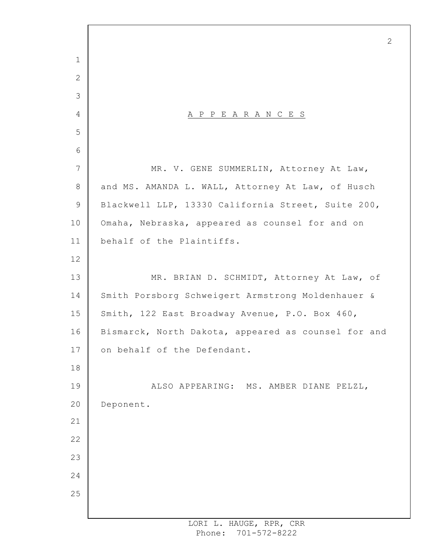A P P E A R A N C E S MR. V. GENE SUMMERLIN, Attorney At Law, and MS. AMANDA L. WALL, Attorney At Law, of Husch Blackwell LLP, 13330 California Street, Suite 200, Omaha, Nebraska, appeared as counsel for and on behalf of the Plaintiffs. MR. BRIAN D. SCHMIDT, Attorney At Law, of Smith Porsborg Schweigert Armstrong Moldenhauer & Smith, 122 East Broadway Avenue, P.O. Box 460, Bismarck, North Dakota, appeared as counsel for and on behalf of the Defendant. ALSO APPEARING: MS. AMBER DIANE PELZL, Deponent.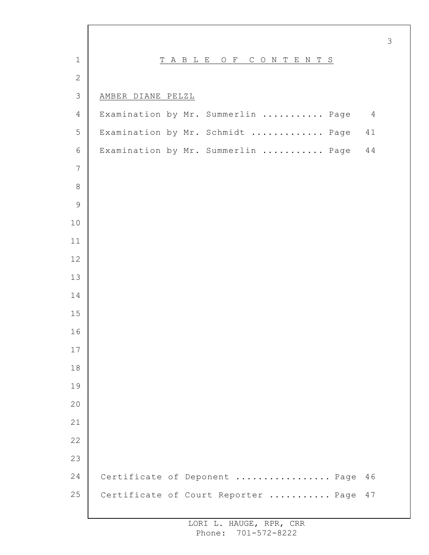| $1\,$          | T A B L E O F<br>CONTENTS                            |
|----------------|------------------------------------------------------|
| $\overline{2}$ |                                                      |
| $\mathcal{S}$  | AMBER DIANE PELZL                                    |
| $\overline{4}$ | Examination by Mr. Summerlin  Page<br>$\overline{4}$ |
| 5              | Examination by Mr. Schmidt  Page<br>41               |
| $\sqrt{6}$     | Examination by Mr. Summerlin  Page<br>44             |
| $\overline{7}$ |                                                      |
| $\,8\,$        |                                                      |
| $\mathsf 9$    |                                                      |
| $10$           |                                                      |
| $11$           |                                                      |
| 12             |                                                      |
| 13             |                                                      |
| 14             |                                                      |
| 15             |                                                      |
| 16             |                                                      |
| 17             |                                                      |
| 18             |                                                      |
| 19             |                                                      |
| 20             |                                                      |
| 21             |                                                      |
| 22             |                                                      |
| 23             |                                                      |
| 24             | Certificate of Deponent  Page<br>46                  |
| 25             | Certificate of Court Reporter  Page<br>47            |
|                |                                                      |

 $\Gamma$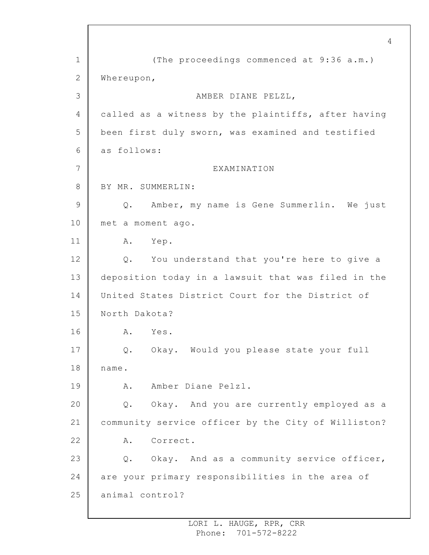1 2 3 4 5 6 7 8 9 10 11 12 13 14 15 16 17 18 19 20 21 22 23 24 25 4 (The proceedings commenced at 9:36 a.m.) Whereupon, AMBER DIANE PELZL, called as a witness by the plaintiffs, after having been first duly sworn, was examined and testified as follows: EXAMINATION BY MR. SUMMERLIN: Q. Amber, my name is Gene Summerlin. We just met a moment ago. A. Yep. Q. You understand that you're here to give a deposition today in a lawsuit that was filed in the United States District Court for the District of North Dakota? A. Yes. Q. Okay. Would you please state your full name. A. Amber Diane Pelzl. Q. Okay. And you are currently employed as a community service officer by the City of Williston? A. Correct. Q. Okay. And as a community service officer, are your primary responsibilities in the area of animal control?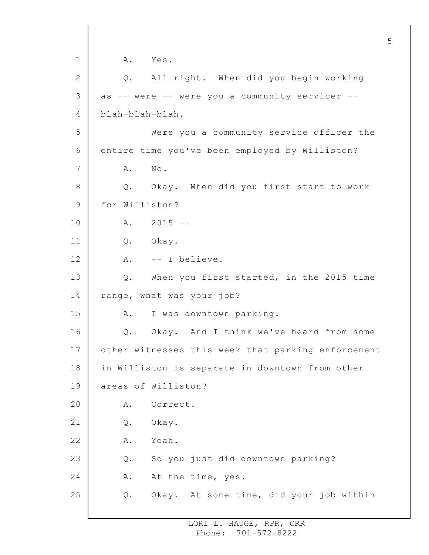1 2 3 4 5 6 7 8 9 10 11 12 13 14 15 16 17 18 19 20 21 22 23 24 25 A. Yes. Q. All right. When did you begin working as -- were -- were you a community servicer - blah-blah-blah. Were you a community service officer the entire time you've been employed by Williston? A. No. Q. Okay. When did you first start to work for Williston? A. 2015 -- Q. Okay. A. -- I believe. Q. When you first started, in the 2015 time range, what was your job? A. I was downtown parking. Q. Okay. And I think we've heard from some other witnesses this week that parking enforcement in Williston is separate in downtown from other areas of Williston? A. Correct. Q. Okay. A. Yeah. Q. So you just did downtown parking? A. At the time, yes. Q. Okay. At some time, did your job within

5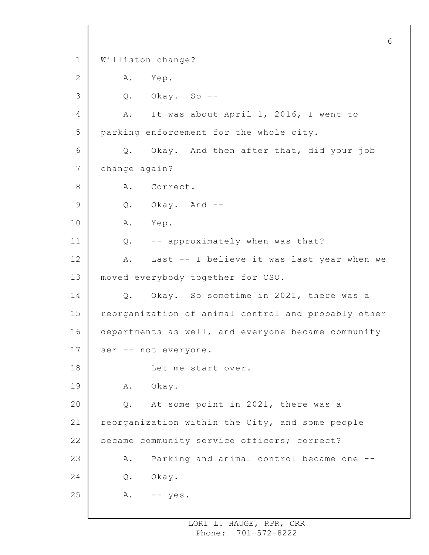1 2 3 4 5 6 7 8 9 10 11 12 13 14 15 16 17 18 19 20 21 22 23 24 25 Williston change? A. Yep. Q. Okay. So -- A. It was about April 1, 2016, I went to parking enforcement for the whole city. Q. Okay. And then after that, did your job change again? A. Correct. Q. Okay. And -- A. Yep. Q. -- approximately when was that? A. Last -- I believe it was last year when we moved everybody together for CSO. Q. Okay. So sometime in 2021, there was a reorganization of animal control and probably other departments as well, and everyone became community ser -- not everyone. Let me start over. A. Okay. Q. At some point in 2021, there was a reorganization within the City, and some people became community service officers; correct? A. Parking and animal control became one -- Q. Okay.  $A.$  -- yes.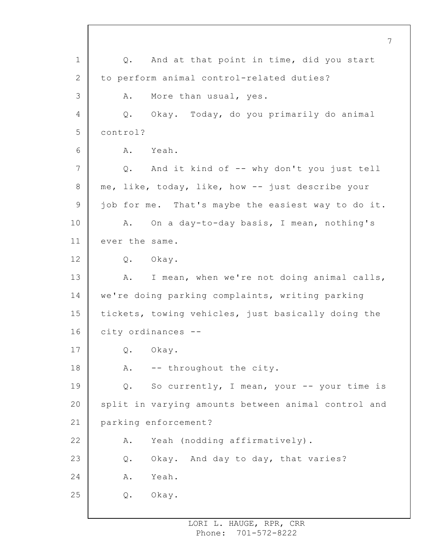1 2 3 4 5 6 7 8 9 10 11 12 13 14 15 16 17 18 19 20 21 22 23 24 25 7 Q. And at that point in time, did you start to perform animal control-related duties? A. More than usual, yes. Q. Okay. Today, do you primarily do animal control? A. Yeah. Q. And it kind of -- why don't you just tell me, like, today, like, how -- just describe your job for me. That's maybe the easiest way to do it. A. On a day-to-day basis, I mean, nothing's ever the same. Q. Okay. A. I mean, when we're not doing animal calls, we're doing parking complaints, writing parking tickets, towing vehicles, just basically doing the city ordinances -- Q. Okay. A. -- throughout the city. Q. So currently, I mean, your -- your time is split in varying amounts between animal control and parking enforcement? A. Yeah (nodding affirmatively). Q. Okay. And day to day, that varies? A. Yeah. Q. Okay.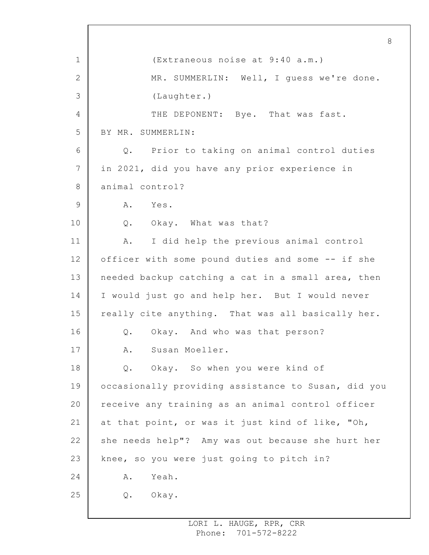1 2 3 4 5 6 7 8 9 10 11 12 13 14 15 16 17 18 19 20 21 22 23 24 25 8 (Extraneous noise at 9:40 a.m.) MR. SUMMERLIN: Well, I guess we're done. (Laughter.) THE DEPONENT: Bye. That was fast. BY MR. SUMMERLIN: Q. Prior to taking on animal control duties in 2021, did you have any prior experience in animal control? A. Yes. Q. Okay. What was that? A. I did help the previous animal control officer with some pound duties and some -- if she needed backup catching a cat in a small area, then I would just go and help her. But I would never really cite anything. That was all basically her. Q. Okay. And who was that person? A. Susan Moeller. Q. Okay. So when you were kind of occasionally providing assistance to Susan, did you receive any training as an animal control officer at that point, or was it just kind of like, "Oh, she needs help"? Amy was out because she hurt her knee, so you were just going to pitch in? A. Yeah. Q. Okay.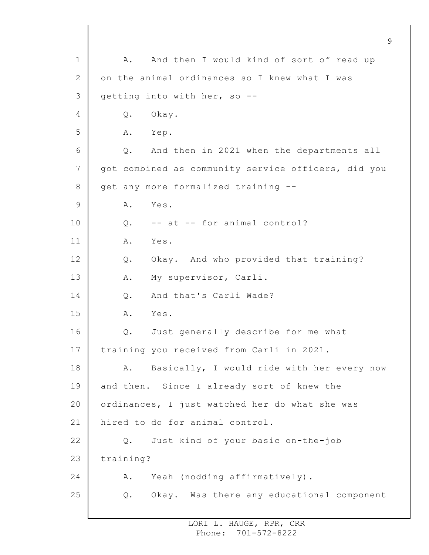1 2 3 4 5 6 7 8 9 10 11 12 13 14 15 16 17 18 19 20 21 22 23 24 25 9 A. And then I would kind of sort of read up on the animal ordinances so I knew what I was getting into with her, so -- Q. Okay. A. Yep. Q. And then in 2021 when the departments all got combined as community service officers, did you get any more formalized training -- A. Yes. Q. -- at -- for animal control? A. Yes. Q. Okay. And who provided that training? A. My supervisor, Carli. Q. And that's Carli Wade? A. Yes. Q. Just generally describe for me what training you received from Carli in 2021. A. Basically, I would ride with her every now and then. Since I already sort of knew the ordinances, I just watched her do what she was hired to do for animal control. Q. Just kind of your basic on-the-job training? A. Yeah (nodding affirmatively). Q. Okay. Was there any educational component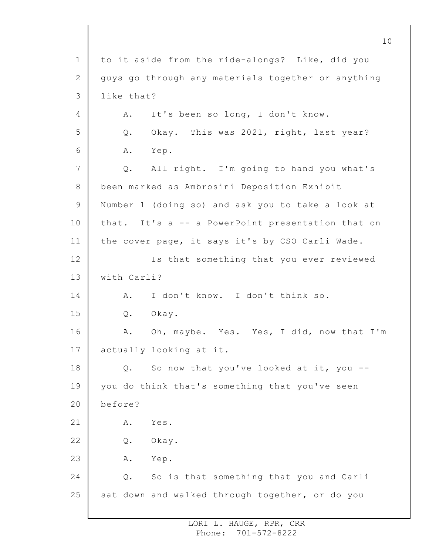1 2 3 4 5 6 7 8 9 10 11 12 13 14 15 16 17 18 19 20 21 22 23 24 25 10 to it aside from the ride-alongs? Like, did you guys go through any materials together or anything like that? A. It's been so long, I don't know. Q. Okay. This was 2021, right, last year? A. Yep. Q. All right. I'm going to hand you what's been marked as Ambrosini Deposition Exhibit Number 1 (doing so) and ask you to take a look at that. It's a -- a PowerPoint presentation that on the cover page, it says it's by CSO Carli Wade. Is that something that you ever reviewed with Carli? A. I don't know. I don't think so. Q. Okay. A. Oh, maybe. Yes. Yes, I did, now that I'm actually looking at it. Q. So now that you've looked at it, you - you do think that's something that you've seen before? A. Yes. Q. Okay. A. Yep. Q. So is that something that you and Carli sat down and walked through together, or do you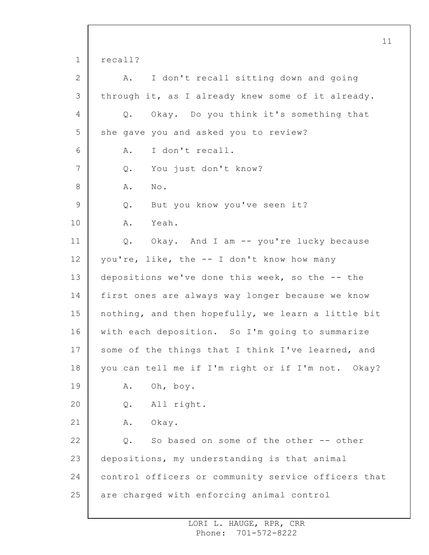1 2 3 4 5 6 7 8 9 10 11 12 13 14 15 16 17 18 19 20 21 22 23 24 25 11 recall? A. I don't recall sitting down and going through it, as I already knew some of it already. Q. Okay. Do you think it's something that she gave you and asked you to review? A. I don't recall. Q. You just don't know? A. No. Q. But you know you've seen it? A. Yeah. Q. Okay. And I am -- you're lucky because you're, like, the -- I don't know how many depositions we've done this week, so the -- the first ones are always way longer because we know nothing, and then hopefully, we learn a little bit with each deposition. So I'm going to summarize some of the things that I think I've learned, and you can tell me if I'm right or if I'm not. Okay? A. Oh, boy. Q. All right. A. Okay. Q. So based on some of the other -- other depositions, my understanding is that animal control officers or community service officers that are charged with enforcing animal control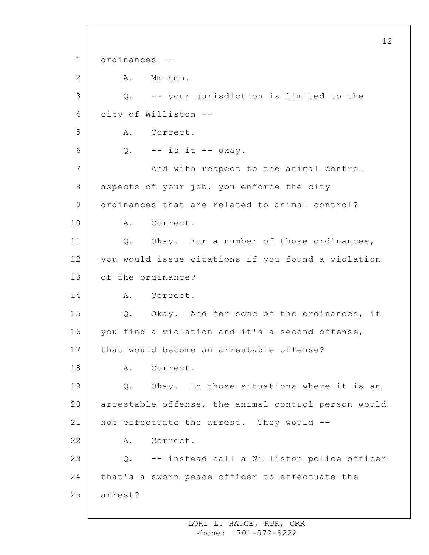1 2 3 4 5 6 7 8 9 10 11 12 13 14 15 16 17 18 19 20 21 22 23 24 25 12 ordinances -- A. Mm-hmm. Q. -- your jurisdiction is limited to the city of Williston -- A. Correct.  $Q.$  -- is it -- okay. And with respect to the animal control aspects of your job, you enforce the city ordinances that are related to animal control? A. Correct. Q. Okay. For a number of those ordinances, you would issue citations if you found a violation of the ordinance? A. Correct. Q. Okay. And for some of the ordinances, if you find a violation and it's a second offense, that would become an arrestable offense? A. Correct. Q. Okay. In those situations where it is an arrestable offense, the animal control person would not effectuate the arrest. They would -- A. Correct. Q. -- instead call a Williston police officer that's a sworn peace officer to effectuate the arrest?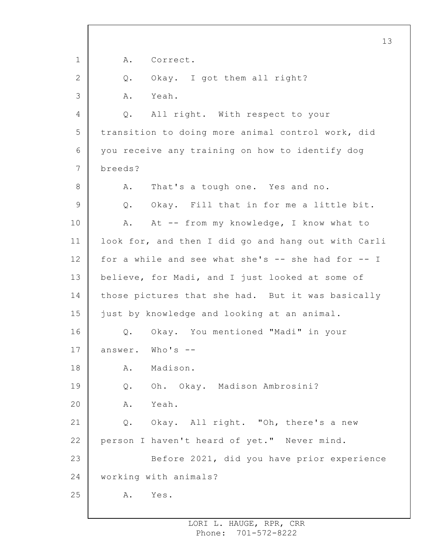1 2 3 4 5 6 7 8 9 10 11 12 13 14 15 16 17 18 19 20 21 22 23 24 25 13 A. Correct. Q. Okay. I got them all right? A. Yeah. Q. All right. With respect to your transition to doing more animal control work, did you receive any training on how to identify dog breeds? A. That's a tough one. Yes and no. Q. Okay. Fill that in for me a little bit. A. At -- from my knowledge, I know what to look for, and then I did go and hang out with Carli for a while and see what she's -- she had for -- I believe, for Madi, and I just looked at some of those pictures that she had. But it was basically just by knowledge and looking at an animal. Q. Okay. You mentioned "Madi" in your answer. Who's -- A. Madison. Q. Oh. Okay. Madison Ambrosini? A. Yeah. Q. Okay. All right. "Oh, there's a new person I haven't heard of yet." Never mind. Before 2021, did you have prior experience working with animals? A. Yes.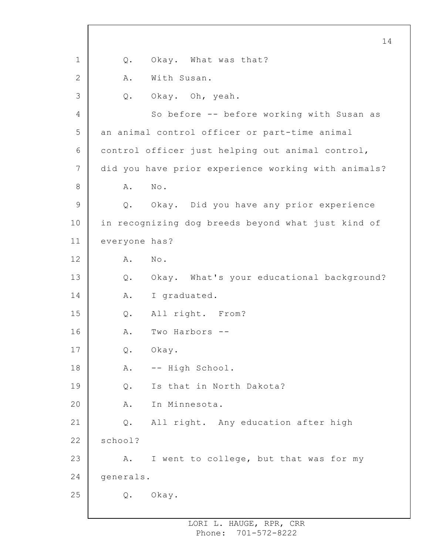1 2 3 4 5 6 7 8 9 10 11 12 13 14 15 16 17 18 19 20 21 22 23 24 25 14 Q. Okay. What was that? A. With Susan. Q. Okay. Oh, yeah. So before -- before working with Susan as an animal control officer or part-time animal control officer just helping out animal control, did you have prior experience working with animals? A. No. Q. Okay. Did you have any prior experience in recognizing dog breeds beyond what just kind of everyone has? A. No. Q. Okay. What's your educational background? A. I graduated. Q. All right. From? A. Two Harbors -- Q. Okay. A. -- High School. Q. Is that in North Dakota? A. In Minnesota. Q. All right. Any education after high school? A. I went to college, but that was for my generals. Q. Okay.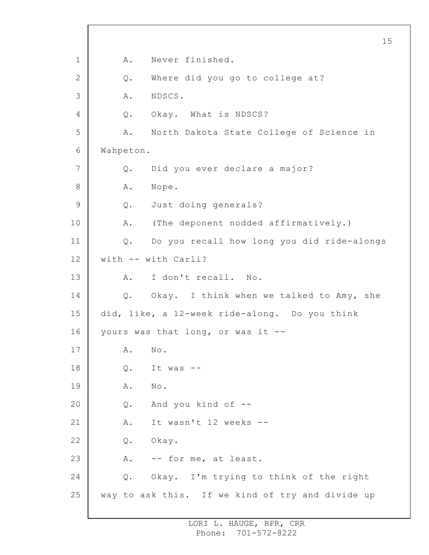1 2 3 4 5 6 7 8 9 10 11 12 13 14 15 16 17 18 19 20 21 22 23 24 25 15 A. Never finished. Q. Where did you go to college at? A. NDSCS. Q. Okay. What is NDSCS? A. North Dakota State College of Science in Wahpeton. Q. Did you ever declare a major? A. Nope. Q. Just doing generals? A. (The deponent nodded affirmatively.) Q. Do you recall how long you did ride-alongs with -- with Carli? A. I don't recall. No. Q. Okay. I think when we talked to Amy, she did, like, a 12-week ride-along. Do you think yours was that long, or was it -- A. No.  $0.$  It was  $-$ A. No. Q. And you kind of -- A. It wasn't 12 weeks -- Q. Okay. A. -- for me, at least. Q. Okay. I'm trying to think of the right way to ask this. If we kind of try and divide up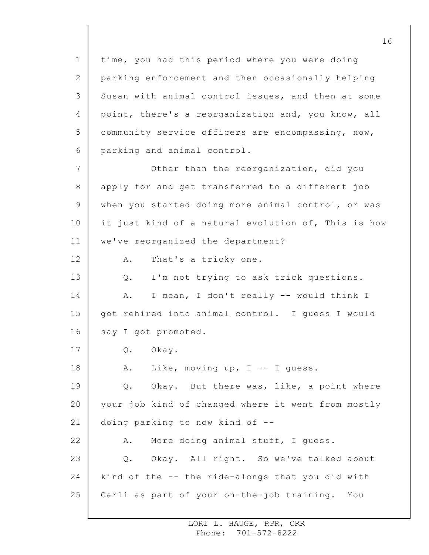1 2 3 4 5 6 7 8 9 10 11 12 13 14 15 16 17 18 19 20 21 22 23 24 25 time, you had this period where you were doing parking enforcement and then occasionally helping Susan with animal control issues, and then at some point, there's a reorganization and, you know, all community service officers are encompassing, now, parking and animal control. Other than the reorganization, did you apply for and get transferred to a different job when you started doing more animal control, or was it just kind of a natural evolution of, This is how we've reorganized the department? A. That's a tricky one. Q. I'm not trying to ask trick questions. A. I mean, I don't really -- would think I got rehired into animal control. I guess I would say I got promoted. Q. Okay. A. Like, moving up, I -- I guess. Q. Okay. But there was, like, a point where your job kind of changed where it went from mostly doing parking to now kind of -- A. More doing animal stuff, I guess. Q. Okay. All right. So we've talked about kind of the -- the ride-alongs that you did with Carli as part of your on-the-job training. You

> LORI L. HAUGE, RPR, CRR Phone: 701-572-8222

16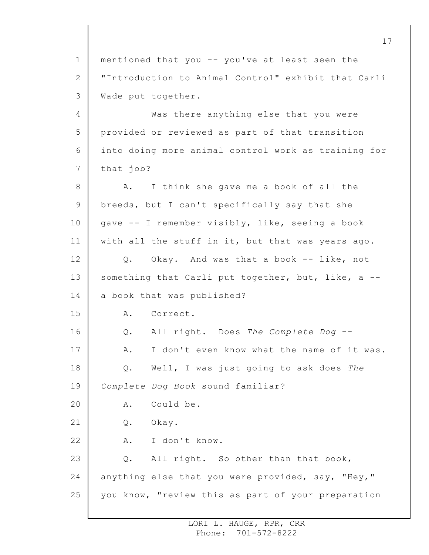1 2 3 4 5 6 7 8 9 10 11 12 13 14 15 16 17 18 19 20 21 22 23 24 25 mentioned that you -- you've at least seen the "Introduction to Animal Control" exhibit that Carli Wade put together. Was there anything else that you were provided or reviewed as part of that transition into doing more animal control work as training for that job? A. I think she gave me a book of all the breeds, but I can't specifically say that she gave -- I remember visibly, like, seeing a book with all the stuff in it, but that was years ago. Q. Okay. And was that a book -- like, not something that Carli put together, but, like, a -a book that was published? A. Correct. Q. All right. Does *The Complete Dog* -- A. I don't even know what the name of it was. Q. Well, I was just going to ask does *The Complete Dog Book* sound familiar? A. Could be. Q. Okay. A. I don't know. Q. All right. So other than that book, anything else that you were provided, say, "Hey," you know, "review this as part of your preparation

> LORI L. HAUGE, RPR, CRR Phone: 701-572-8222

17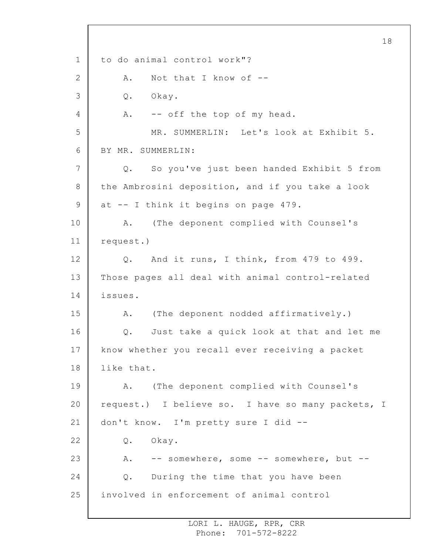1 2 3 4 5 6 7 8 9 10 11 12 13 14 15 16 17 18 19 20 21 22 23 24 25 18 to do animal control work"? A. Not that I know of -- Q. Okay. A. -- off the top of my head. MR. SUMMERLIN: Let's look at Exhibit 5. BY MR. SUMMERLIN: Q. So you've just been handed Exhibit 5 from the Ambrosini deposition, and if you take a look at -- I think it begins on page 479. A. (The deponent complied with Counsel's request.) Q. And it runs, I think, from 479 to 499. Those pages all deal with animal control-related issues. A. (The deponent nodded affirmatively.) Q. Just take a quick look at that and let me know whether you recall ever receiving a packet like that. A. (The deponent complied with Counsel's request.) I believe so. I have so many packets, I don't know. I'm pretty sure I did -- Q. Okay. A. -- somewhere, some -- somewhere, but --Q. During the time that you have been involved in enforcement of animal control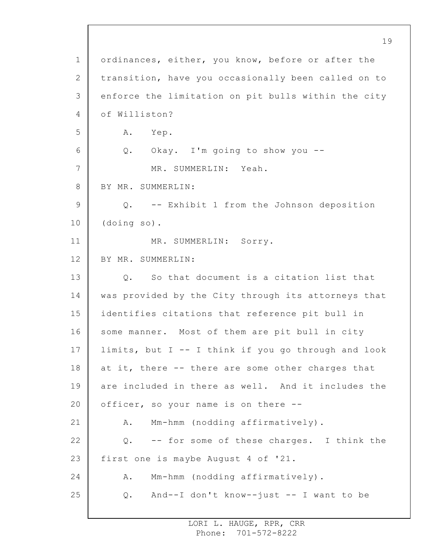1 2 3 4 5 6 7 8 9 10 11 12 13 14 15 16 17 18 19 20 21 22 23 24 25 19 ordinances, either, you know, before or after the transition, have you occasionally been called on to enforce the limitation on pit bulls within the city of Williston? A. Yep. Q. Okay. I'm going to show you -- MR. SUMMERLIN: Yeah. BY MR. SUMMERLIN: Q. -- Exhibit 1 from the Johnson deposition (doing so). MR. SUMMERLIN: Sorry. BY MR. SUMMERLIN: Q. So that document is a citation list that was provided by the City through its attorneys that identifies citations that reference pit bull in some manner. Most of them are pit bull in city limits, but I -- I think if you go through and look at it, there -- there are some other charges that are included in there as well. And it includes the officer, so your name is on there -- A. Mm-hmm (nodding affirmatively). Q. -- for some of these charges. I think the first one is maybe August 4 of '21. A. Mm-hmm (nodding affirmatively). Q. And--I don't know--just -- I want to be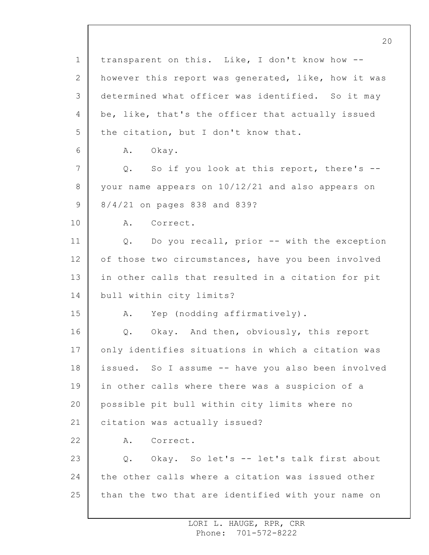1 2 3 4 5 6 7 8 9 10 11 12 13 14 15 16 17 18 19 20 21 22 23 24 25 20 transparent on this. Like, I don't know how - however this report was generated, like, how it was determined what officer was identified. So it may be, like, that's the officer that actually issued the citation, but I don't know that. A. Okay. Q. So if you look at this report, there's - your name appears on 10/12/21 and also appears on 8/4/21 on pages 838 and 839? A. Correct. Q. Do you recall, prior -- with the exception of those two circumstances, have you been involved in other calls that resulted in a citation for pit bull within city limits? A. Yep (nodding affirmatively). Q. Okay. And then, obviously, this report only identifies situations in which a citation was issued. So I assume -- have you also been involved in other calls where there was a suspicion of a possible pit bull within city limits where no citation was actually issued? A. Correct. Q. Okay. So let's -- let's talk first about the other calls where a citation was issued other than the two that are identified with your name on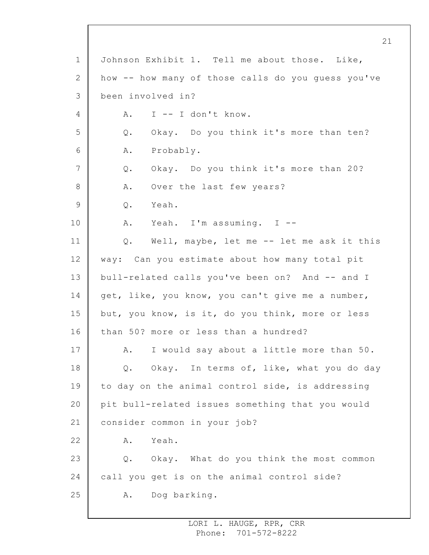1 2 3 4 5 6 7 8 9 10 11 12 13 14 15 16 17 18 19 20 21 22 23 24 25 21 Johnson Exhibit 1. Tell me about those. Like, how -- how many of those calls do you guess you've been involved in? A. I -- I don't know. Q. Okay. Do you think it's more than ten? A. Probably. Q. Okay. Do you think it's more than 20? A. Over the last few years? Q. Yeah. A. Yeah. I'm assuming. I -- Q. Well, maybe, let me -- let me ask it this way: Can you estimate about how many total pit bull-related calls you've been on? And -- and I get, like, you know, you can't give me a number, but, you know, is it, do you think, more or less than 50? more or less than a hundred? A. I would say about a little more than 50. Q. Okay. In terms of, like, what you do day to day on the animal control side, is addressing pit bull-related issues something that you would consider common in your job? A. Yeah. Q. Okay. What do you think the most common call you get is on the animal control side? A. Dog barking.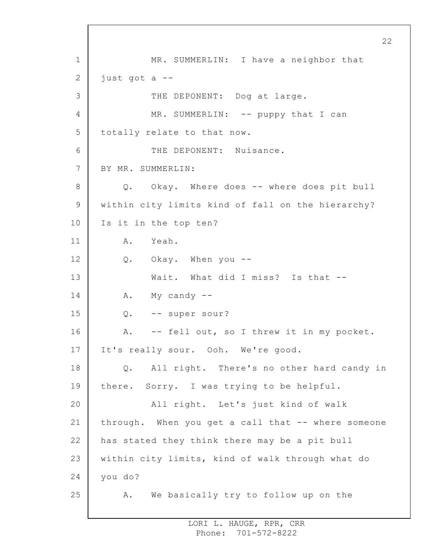1 2 3 4 5 6 7 8 9 10 11 12 13 14 15 16 17 18 19 20 21 22 23 24 25 22 MR. SUMMERLIN: I have a neighbor that just got a -- THE DEPONENT: Dog at large. MR. SUMMERLIN: -- puppy that I can totally relate to that now. THE DEPONENT: Nuisance. BY MR. SUMMERLIN: Q. Okay. Where does -- where does pit bull within city limits kind of fall on the hierarchy? Is it in the top ten? A. Yeah. Q. Okay. When you -- Wait. What did I miss? Is that --A. My candy -- Q. -- super sour? A. -- fell out, so I threw it in my pocket. It's really sour. Ooh. We're good. Q. All right. There's no other hard candy in there. Sorry. I was trying to be helpful. All right. Let's just kind of walk through. When you get a call that -- where someone has stated they think there may be a pit bull within city limits, kind of walk through what do you do? A. We basically try to follow up on the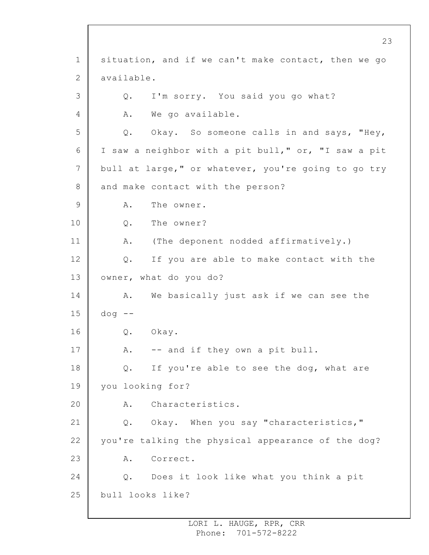1 2 3 4 5 6 7 8 9 10 11 12 13 14 15 16 17 18 19 20 21 22 23 24 25 situation, and if we can't make contact, then we go available. Q. I'm sorry. You said you go what? A. We go available. Q. Okay. So someone calls in and says, "Hey, I saw a neighbor with a pit bull," or, "I saw a pit bull at large," or whatever, you're going to go try and make contact with the person? A. The owner. Q. The owner? A. (The deponent nodded affirmatively.) Q. If you are able to make contact with the owner, what do you do? A. We basically just ask if we can see the  $d$ oq  $-$ Q. Okay. A. -- and if they own a pit bull. Q. If you're able to see the dog, what are you looking for? A. Characteristics. Q. Okay. When you say "characteristics," you're talking the physical appearance of the dog? A. Correct. Q. Does it look like what you think a pit bull looks like?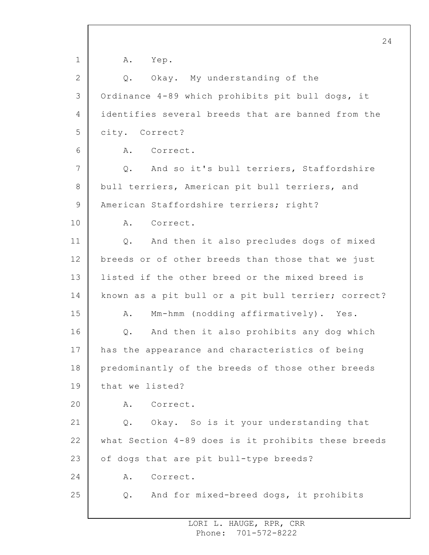1 2 3 4 5 6 7 8 9 10 11 12 13 14 15 16 17 18 19 20 21 22 23 24 25 24 A. Yep. Q. Okay. My understanding of the Ordinance 4-89 which prohibits pit bull dogs, it identifies several breeds that are banned from the city. Correct? A. Correct. Q. And so it's bull terriers, Staffordshire bull terriers, American pit bull terriers, and American Staffordshire terriers; right? A. Correct. Q. And then it also precludes dogs of mixed breeds or of other breeds than those that we just listed if the other breed or the mixed breed is known as a pit bull or a pit bull terrier; correct? A. Mm-hmm (nodding affirmatively). Yes. Q. And then it also prohibits any dog which has the appearance and characteristics of being predominantly of the breeds of those other breeds that we listed? A. Correct. Q. Okay. So is it your understanding that what Section 4-89 does is it prohibits these breeds of dogs that are pit bull-type breeds? A. Correct. Q. And for mixed-breed dogs, it prohibits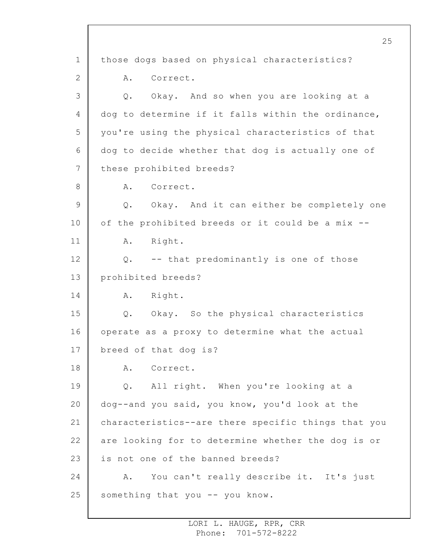1 2 3 4 5 6 7 8 9 10 11 12 13 14 15 16 17 18 19 20 21 22 23 24 25 those dogs based on physical characteristics? A. Correct. Q. Okay. And so when you are looking at a dog to determine if it falls within the ordinance, you're using the physical characteristics of that dog to decide whether that dog is actually one of these prohibited breeds? A. Correct. Q. Okay. And it can either be completely one of the prohibited breeds or it could be a mix -- A. Right. Q. -- that predominantly is one of those prohibited breeds? A. Right. Q. Okay. So the physical characteristics operate as a proxy to determine what the actual breed of that dog is? A. Correct. Q. All right. When you're looking at a dog--and you said, you know, you'd look at the characteristics--are there specific things that you are looking for to determine whether the dog is or is not one of the banned breeds? A. You can't really describe it. It's just something that you -- you know.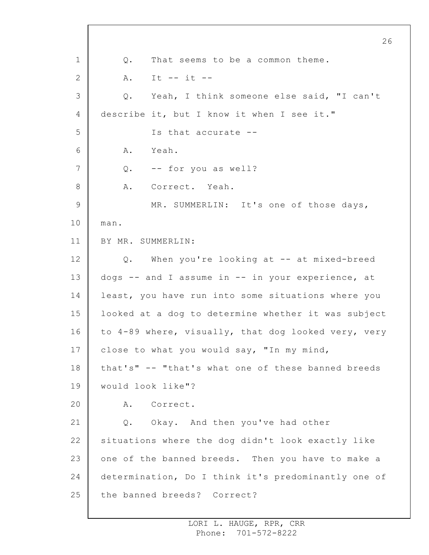1 2 3 4 5 6 7 8 9 10 11 12 13 14 15 16 17 18 19 20 21 22 23 24 25 26 Q. That seems to be a common theme. A. It -- it -- Q. Yeah, I think someone else said, "I can't describe it, but I know it when I see it." Is that accurate -- A. Yeah. Q. -- for you as well? A. Correct. Yeah. MR. SUMMERLIN: It's one of those days, man. BY MR. SUMMERLIN: Q. When you're looking at -- at mixed-breed dogs -- and I assume in -- in your experience, at least, you have run into some situations where you looked at a dog to determine whether it was subject to 4-89 where, visually, that dog looked very, very close to what you would say, "In my mind, that's" -- "that's what one of these banned breeds would look like"? A. Correct. Q. Okay. And then you've had other situations where the dog didn't look exactly like one of the banned breeds. Then you have to make a determination, Do I think it's predominantly one of the banned breeds? Correct?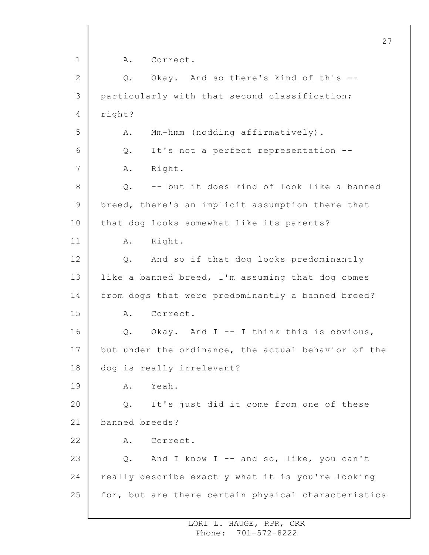1 2 3 4 5 6 7 8 9 10 11 12 13 14 15 16 17 18 19 20 21 22 23 24 25 27 A. Correct. Q. Okay. And so there's kind of this - particularly with that second classification; right? A. Mm-hmm (nodding affirmatively). Q. It's not a perfect representation -- A. Right. Q. -- but it does kind of look like a banned breed, there's an implicit assumption there that that dog looks somewhat like its parents? A. Right. Q. And so if that dog looks predominantly like a banned breed, I'm assuming that dog comes from dogs that were predominantly a banned breed? A. Correct. Q. Okay. And I -- I think this is obvious, but under the ordinance, the actual behavior of the dog is really irrelevant? A. Yeah. Q. It's just did it come from one of these banned breeds? A. Correct. Q. And I know I -- and so, like, you can't really describe exactly what it is you're looking for, but are there certain physical characteristics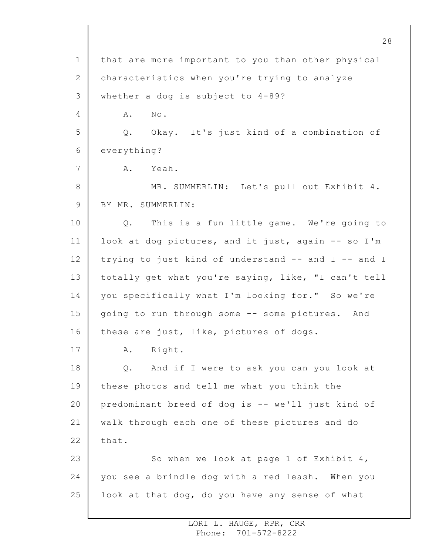1 2 3 4 5 6 7 8 9 10 11 12 13 14 15 16 17 18 19 20 21 22 23 24 25 that are more important to you than other physical characteristics when you're trying to analyze whether a dog is subject to 4-89? A. No. Q. Okay. It's just kind of a combination of everything? A. Yeah. MR. SUMMERLIN: Let's pull out Exhibit 4. BY MR. SUMMERLIN: Q. This is a fun little game. We're going to look at dog pictures, and it just, again -- so I'm trying to just kind of understand -- and I -- and I totally get what you're saying, like, "I can't tell you specifically what I'm looking for." So we're going to run through some -- some pictures. And these are just, like, pictures of dogs. A. Right. Q. And if I were to ask you can you look at these photos and tell me what you think the predominant breed of dog is -- we'll just kind of walk through each one of these pictures and do that. So when we look at page 1 of Exhibit 4, you see a brindle dog with a red leash. When you look at that dog, do you have any sense of what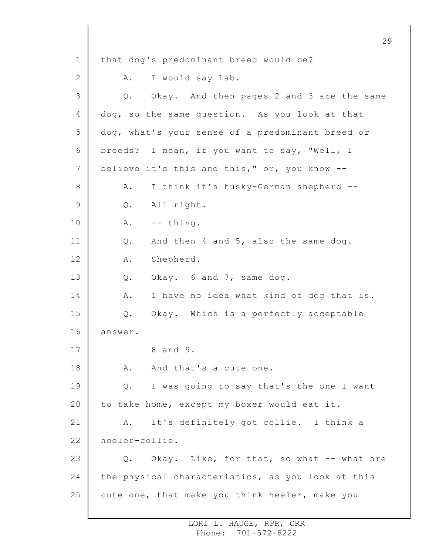1 2 3 4 5 6 7 8 9 10 11 12 13 14 15 16 17 18 19 20 21 22 23 24 25 29 that dog's predominant breed would be? A. I would say Lab. Q. Okay. And then pages 2 and 3 are the same dog, so the same question. As you look at that dog, what's your sense of a predominant breed or breeds? I mean, if you want to say, "Well, I believe it's this and this," or, you know -- A. I think it's husky-German shepherd -- Q. All right. A. -- thing. Q. And then 4 and 5, also the same dog. A. Shepherd. Q. Okay. 6 and 7, same dog. A. I have no idea what kind of dog that is. Q. Okay. Which is a perfectly acceptable answer. 8 and 9. A. And that's a cute one. Q. I was going to say that's the one I want to take home, except my boxer would eat it. A. It's definitely got collie. I think a heeler-collie. Q. Okay. Like, for that, so what -- what are the physical characteristics, as you look at this cute one, that make you think heeler, make you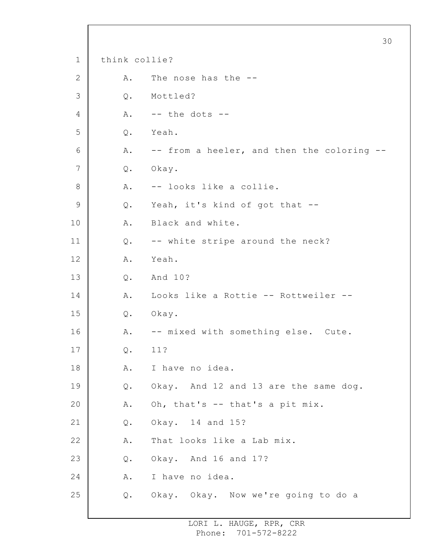|             |               |                                            | 30 |
|-------------|---------------|--------------------------------------------|----|
| $\mathbf 1$ | think collie? |                                            |    |
| 2           | Α.            | The nose has the --                        |    |
| 3           | Q.            | Mottled?                                   |    |
| 4           | Α.            | $--$ the dots $--$                         |    |
| 5           | Q.            | Yeah.                                      |    |
| 6           | Α.            | -- from a heeler, and then the coloring -- |    |
| 7           | Q.            | Okay.                                      |    |
| 8           | Α.            | -- looks like a collie.                    |    |
| $\mathsf 9$ | Q.            | Yeah, it's kind of got that --             |    |
| 10          | Α.            | Black and white.                           |    |
| 11          | Q.            | -- white stripe around the neck?           |    |
| 12          | Α.            | Yeah.                                      |    |
| 13          | Q.            | And 10?                                    |    |
| 14          | Α.            | Looks like a Rottie -- Rottweiler --       |    |
| 15          | Q.            | Okay.                                      |    |
| 16          | Α.            | -- mixed with something else. Cute.        |    |
| 17          | Q.            | 11?                                        |    |
| 18          | Α.            | I have no idea.                            |    |
| 19          | Q.            | Okay. And 12 and 13 are the same dog.      |    |
| 20          | Α.            | Oh, that's -- that's a pit mix.            |    |
| 21          | Q.            | Okay. 14 and 15?                           |    |
| 22          | Α.            | That looks like a Lab mix.                 |    |
| 23          | Q.            | Okay. And 16 and 17?                       |    |
| 24          | Α.            | I have no idea.                            |    |
| 25          | Q.            | Okay. Okay. Now we're going to do a        |    |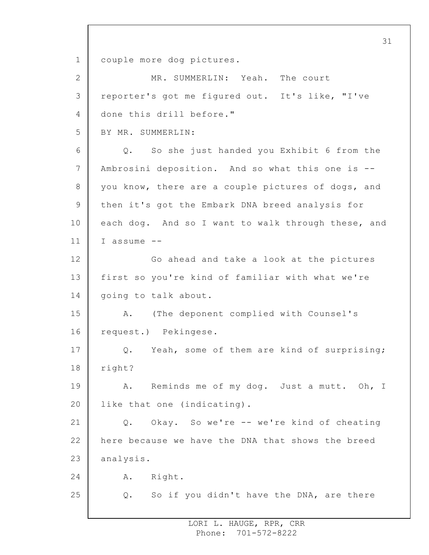1 couple more dog pictures.

| MR. SUMMERLIN: Yeah. The court                     |
|----------------------------------------------------|
| reporter's got me figured out. It's like, "I've    |
| done this drill before."                           |
| BY MR. SUMMERLIN:                                  |
| So she just handed you Exhibit 6 from the<br>$Q$ . |
| Ambrosini deposition. And so what this one is --   |
| you know, there are a couple pictures of dogs, and |
| then it's got the Embark DNA breed analysis for    |
| each dog. And so I want to walk through these, and |
| I assume --                                        |
| Go ahead and take a look at the pictures           |
| first so you're kind of familiar with what we're   |
| going to talk about.                               |
| (The deponent complied with Counsel's<br>Α.        |
| request.) Pekingese.                               |
| Q. Yeah, some of them are kind of surprising;      |
| right?                                             |
| Reminds me of my dog. Just a mutt. Oh, I<br>Α.     |
| like that one (indicating).                        |
| Okay. So we're -- we're kind of cheating<br>Q.     |
| here because we have the DNA that shows the breed  |
| analysis.                                          |
| Α.<br>Right.                                       |
| So if you didn't have the DNA, are there<br>Q.     |
|                                                    |

31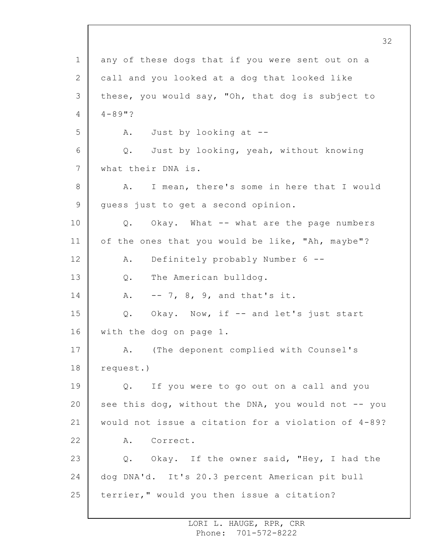1 2 3 4 5 6 7 8 9 10 11 12 13 14 15 16 17 18 19 20 21 22 23 24 25 32 any of these dogs that if you were sent out on a call and you looked at a dog that looked like these, you would say, "Oh, that dog is subject to 4-89"? A. Just by looking at -- Q. Just by looking, yeah, without knowing what their DNA is. A. I mean, there's some in here that I would guess just to get a second opinion. Q. Okay. What -- what are the page numbers of the ones that you would be like, "Ah, maybe"? A. Definitely probably Number 6 -- Q. The American bulldog. A. -- 7, 8, 9, and that's it. Q. Okay. Now, if -- and let's just start with the dog on page 1. A. (The deponent complied with Counsel's request.) Q. If you were to go out on a call and you see this dog, without the DNA, you would not  $-$ - you would not issue a citation for a violation of 4-89? A. Correct. Q. Okay. If the owner said, "Hey, I had the dog DNA'd. It's 20.3 percent American pit bull terrier," would you then issue a citation?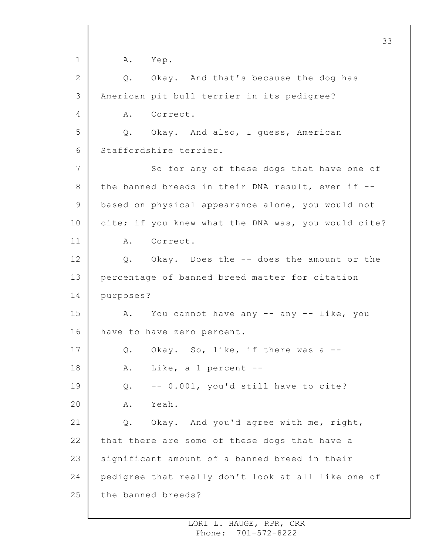1 2 3 4 5 6 7 8 9 10 11 12 13 14 15 16 17 18 19 20 21 22 23 24 25 A. Yep. Q. Okay. And that's because the dog has American pit bull terrier in its pedigree? A. Correct. Q. Okay. And also, I guess, American Staffordshire terrier. So for any of these dogs that have one of the banned breeds in their DNA result, even if - based on physical appearance alone, you would not cite; if you knew what the DNA was, you would cite? A. Correct. Q. Okay. Does the -- does the amount or the percentage of banned breed matter for citation purposes? A. You cannot have any -- any -- like, you have to have zero percent. Q. Okay. So, like, if there was a -- A. Like, a 1 percent -- Q. -- 0.001, you'd still have to cite? A. Yeah. Q. Okay. And you'd agree with me, right, that there are some of these dogs that have a significant amount of a banned breed in their pedigree that really don't look at all like one of the banned breeds?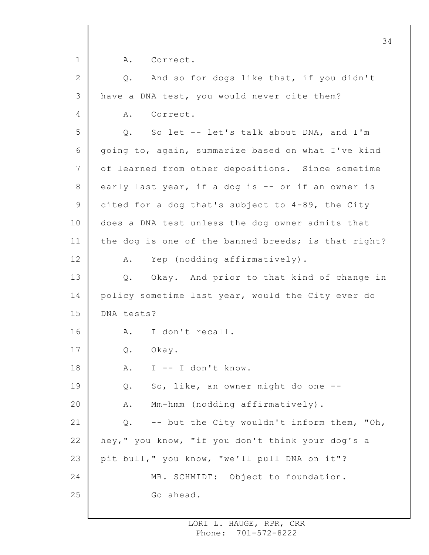1 2 3 4 5 6 7 8 9 10 11 12 13 14 15 16 17 18 19 20 21 22 23 24 25 34 A. Correct. Q. And so for dogs like that, if you didn't have a DNA test, you would never cite them? A. Correct. Q. So let -- let's talk about DNA, and I'm going to, again, summarize based on what I've kind of learned from other depositions. Since sometime early last year, if a dog is -- or if an owner is cited for a dog that's subject to 4-89, the City does a DNA test unless the dog owner admits that the dog is one of the banned breeds; is that right? A. Yep (nodding affirmatively). Q. Okay. And prior to that kind of change in policy sometime last year, would the City ever do DNA tests? A. I don't recall. Q. Okay. A. I -- I don't know. Q. So, like, an owner might do one -- A. Mm-hmm (nodding affirmatively). Q. -- but the City wouldn't inform them, "Oh, hey," you know, "if you don't think your dog's a pit bull," you know, "we'll pull DNA on it"? MR. SCHMIDT: Object to foundation. Go ahead.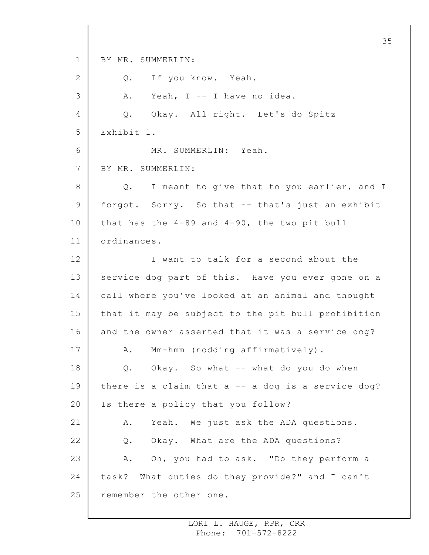1 2 3 4 5 6 7 8 9 10 11 12 13 14 15 16 17 18 19 20 21 22 23 24 25 35 BY MR. SUMMERLIN: Q. If you know. Yeah. A. Yeah, I -- I have no idea. Q. Okay. All right. Let's do Spitz Exhibit 1. MR. SUMMERLIN: Yeah. BY MR. SUMMERLIN: Q. I meant to give that to you earlier, and I forgot. Sorry. So that -- that's just an exhibit that has the 4-89 and 4-90, the two pit bull ordinances. I want to talk for a second about the service dog part of this. Have you ever gone on a call where you've looked at an animal and thought that it may be subject to the pit bull prohibition and the owner asserted that it was a service dog? A. Mm-hmm (nodding affirmatively). Q. Okay. So what -- what do you do when there is a claim that  $a$  -- a dog is a service dog? Is there a policy that you follow? A. Yeah. We just ask the ADA questions. Q. Okay. What are the ADA questions? A. Oh, you had to ask. "Do they perform a task? What duties do they provide?" and I can't remember the other one.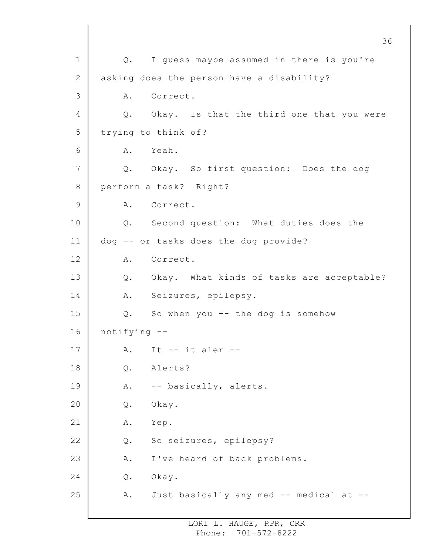1 2 3 4 5 6 7 8 9 10 11 12 13 14 15 16 17 18 19 20 21 22 23 24 25 Q. I guess maybe assumed in there is you're asking does the person have a disability? A. Correct. Q. Okay. Is that the third one that you were trying to think of? A. Yeah. Q. Okay. So first question: Does the dog perform a task? Right? A. Correct. Q. Second question: What duties does the dog -- or tasks does the dog provide? A. Correct. Q. Okay. What kinds of tasks are acceptable? A. Seizures, epilepsy. Q. So when you -- the dog is somehow notifying -- A. It  $--$  it aler  $--$ Q. Alerts? A. -- basically, alerts. Q. Okay. A. Yep. Q. So seizures, epilepsy? A. I've heard of back problems. Q. Okay. A. Just basically any med -- medical at --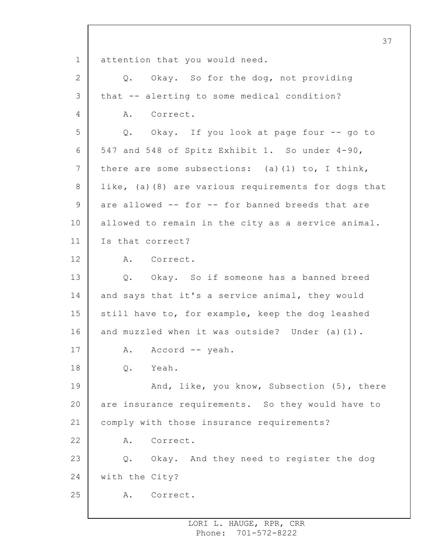1 2 3 4 5 6 7 8 9 10 11 12 13 14 15 16 17 18 19 20 21 22 23 24 25 37 attention that you would need. Q. Okay. So for the dog, not providing that -- alerting to some medical condition? A. Correct. Q. Okay. If you look at page four -- go to 547 and 548 of Spitz Exhibit 1. So under 4-90, there are some subsections: (a)  $(1)$  to, I think, like, (a)(8) are various requirements for dogs that are allowed -- for -- for banned breeds that are allowed to remain in the city as a service animal. Is that correct? A. Correct. Q. Okay. So if someone has a banned breed and says that it's a service animal, they would still have to, for example, keep the dog leashed and muzzled when it was outside? Under (a)(1). A. Accord -- yeah. Q. Yeah. And, like, you know, Subsection (5), there are insurance requirements. So they would have to comply with those insurance requirements? A. Correct. Q. Okay. And they need to register the dog with the City? A. Correct.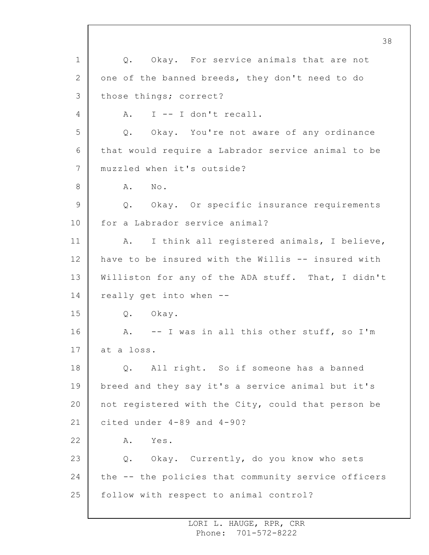1 2 3 4 5 6 7 8 9 10 11 12 13 14 15 16 17 18 19 20 21 22 23 24 25 38 Q. Okay. For service animals that are not one of the banned breeds, they don't need to do those things; correct? A. I -- I don't recall. Q. Okay. You're not aware of any ordinance that would require a Labrador service animal to be muzzled when it's outside? A. No. Q. Okay. Or specific insurance requirements for a Labrador service animal? A. I think all registered animals, I believe, have to be insured with the Willis -- insured with Williston for any of the ADA stuff. That, I didn't really get into when -- Q. Okay. A. -- I was in all this other stuff, so I'm at a loss. Q. All right. So if someone has a banned breed and they say it's a service animal but it's not registered with the City, could that person be cited under 4-89 and 4-90? A. Yes. Q. Okay. Currently, do you know who sets the -- the policies that community service officers follow with respect to animal control?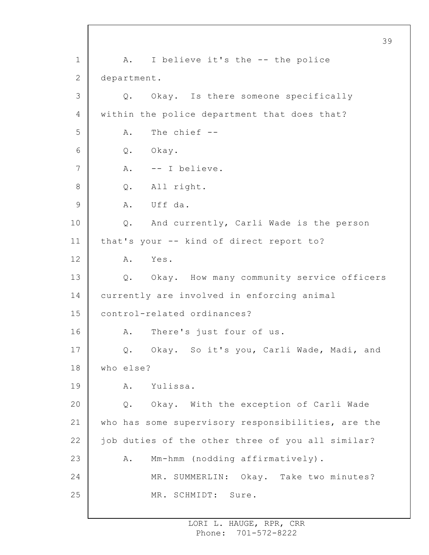1 2 3 4 5 6 7 8 9 10 11 12 13 14 15 16 17 18 19 20 21 22 23 24 25 39 A. I believe it's the -- the police department. Q. Okay. Is there someone specifically within the police department that does that? A. The chief -- Q. Okay. A. -- I believe. Q. All right. A. Uff da. Q. And currently, Carli Wade is the person that's your -- kind of direct report to? A. Yes. Q. Okay. How many community service officers currently are involved in enforcing animal control-related ordinances? A. There's just four of us. Q. Okay. So it's you, Carli Wade, Madi, and who else? A. Yulissa. Q. Okay. With the exception of Carli Wade who has some supervisory responsibilities, are the job duties of the other three of you all similar? A. Mm-hmm (nodding affirmatively). MR. SUMMERLIN: Okay. Take two minutes? MR. SCHMIDT: Sure.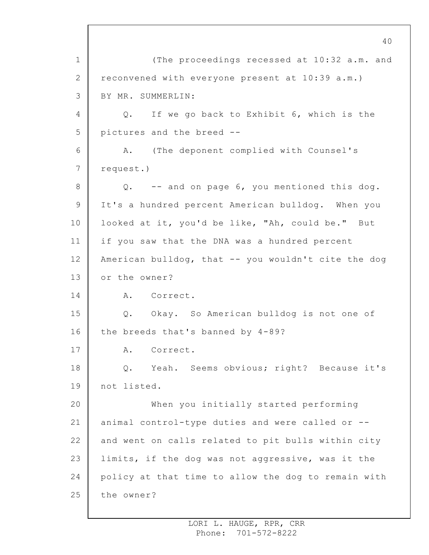1 2 3 4 5 6 7 8 9 10 11 12 13 14 15 16 17 18 19 20 21 22 23 24 25 40 (The proceedings recessed at 10:32 a.m. and reconvened with everyone present at 10:39 a.m.) BY MR. SUMMERLIN: Q. If we go back to Exhibit 6, which is the pictures and the breed -- A. (The deponent complied with Counsel's request.) Q. -- and on page 6, you mentioned this dog. It's a hundred percent American bulldog. When you looked at it, you'd be like, "Ah, could be." But if you saw that the DNA was a hundred percent American bulldog, that -- you wouldn't cite the dog or the owner? A. Correct. Q. Okay. So American bulldog is not one of the breeds that's banned by 4-89? A. Correct. Q. Yeah. Seems obvious; right? Because it's not listed. When you initially started performing animal control-type duties and were called or - and went on calls related to pit bulls within city limits, if the dog was not aggressive, was it the policy at that time to allow the dog to remain with the owner?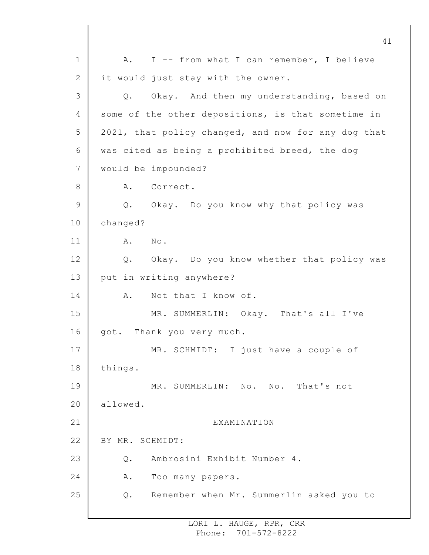1 2 3 4 5 6 7 8 9 10 11 12 13 14 15 16 17 18 19 20 21 22 23 24 25 A. I -- from what I can remember, I believe it would just stay with the owner. Q. Okay. And then my understanding, based on some of the other depositions, is that sometime in 2021, that policy changed, and now for any dog that was cited as being a prohibited breed, the dog would be impounded? A. Correct. Q. Okay. Do you know why that policy was changed? A. No. Q. Okay. Do you know whether that policy was put in writing anywhere? A. Not that I know of. MR. SUMMERLIN: Okay. That's all I've got. Thank you very much. MR. SCHMIDT: I just have a couple of things. MR. SUMMERLIN: No. No. That's not allowed. **EXAMINATION** BY MR. SCHMIDT: Q. Ambrosini Exhibit Number 4. A. Too many papers. Q. Remember when Mr. Summerlin asked you to

41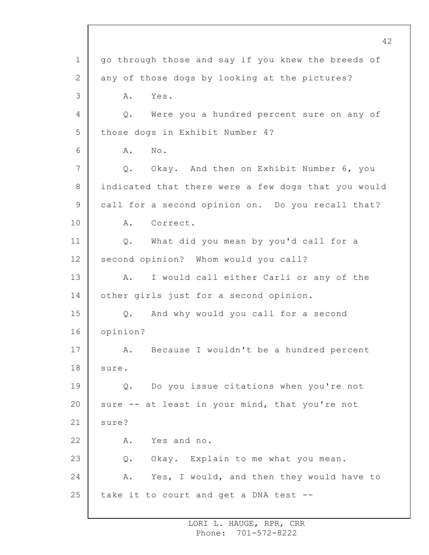1 2 3 4 5 6 7 8 9 10 11 12 13 14 15 16 17 18 19 20 21 22 23 24 25 42 go through those and say if you knew the breeds of any of those dogs by looking at the pictures? A. Yes. Q. Were you a hundred percent sure on any of those dogs in Exhibit Number 4? A. No. Q. Okay. And then on Exhibit Number 6, you indicated that there were a few dogs that you would call for a second opinion on. Do you recall that? A. Correct. Q. What did you mean by you'd call for a second opinion? Whom would you call? A. I would call either Carli or any of the other girls just for a second opinion. Q. And why would you call for a second opinion? A. Because I wouldn't be a hundred percent sure. Q. Do you issue citations when you're not sure -- at least in your mind, that you're not sure? A. Yes and no. Q. Okay. Explain to me what you mean. A. Yes, I would, and then they would have to take it to court and get a DNA test --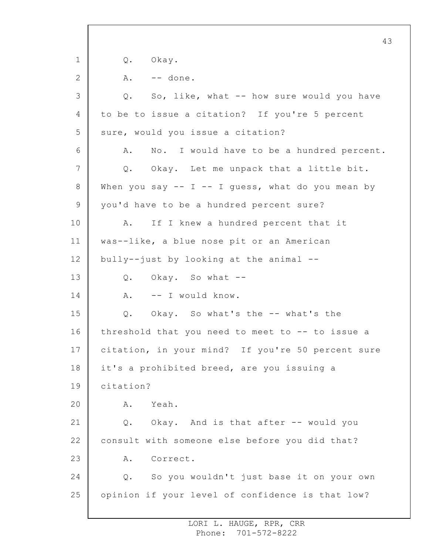1 2 3 4 5 6 7 8 9 10 11 12 13 14 15 16 17 18 19 20 21 22 23 24 25 43 Q. Okay. A. -- done. Q. So, like, what -- how sure would you have to be to issue a citation? If you're 5 percent sure, would you issue a citation? A. No. I would have to be a hundred percent. Q. Okay. Let me unpack that a little bit. When you say  $-- I -- I$  quess, what do you mean by you'd have to be a hundred percent sure? A. If I knew a hundred percent that it was--like, a blue nose pit or an American bully--just by looking at the animal -- Q. Okay. So what -- A. -- I would know. Q. Okay. So what's the -- what's the threshold that you need to meet to -- to issue a citation, in your mind? If you're 50 percent sure it's a prohibited breed, are you issuing a citation? A. Yeah. Q. Okay. And is that after -- would you consult with someone else before you did that? A. Correct. Q. So you wouldn't just base it on your own opinion if your level of confidence is that low?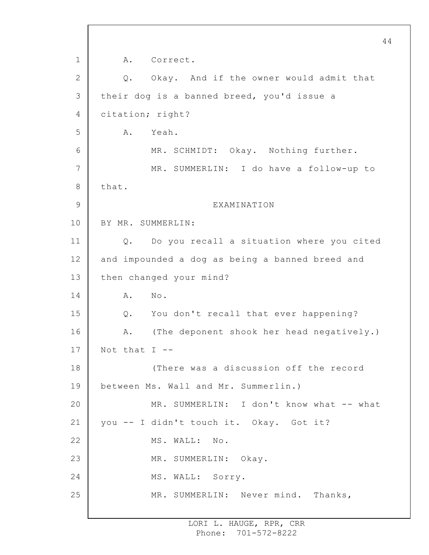1 2 3 4 5 6 7 8 9 10 11 12 13 14 15 16 17 18 19 20 21 22 23 24 25 A. Correct. Q. Okay. And if the owner would admit that their dog is a banned breed, you'd issue a citation; right? A. Yeah. MR. SCHMIDT: Okay. Nothing further. MR. SUMMERLIN: I do have a follow-up to that. EXAMINATION BY MR. SUMMERLIN: Q. Do you recall a situation where you cited and impounded a dog as being a banned breed and then changed your mind? A. No. Q. You don't recall that ever happening? A. (The deponent shook her head negatively.) Not that  $I$  --(There was a discussion off the record between Ms. Wall and Mr. Summerlin.) MR. SUMMERLIN: I don't know what -- what you -- I didn't touch it. Okay. Got it? MS. WALL: No. MR. SUMMERLIN: Okay. MS. WALL: Sorry. MR. SUMMERLIN: Never mind. Thanks,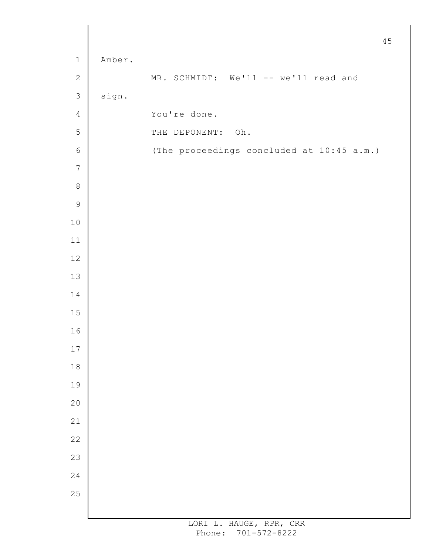|                |        |                                           | $4\,5$ |
|----------------|--------|-------------------------------------------|--------|
| $\mathbf 1$    | Amber. |                                           |        |
| $\mathbf{2}$   |        | MR. SCHMIDT: We'll -- we'll read and      |        |
| $\mathfrak{Z}$ | sign.  |                                           |        |
| $\overline{4}$ |        | You're done.                              |        |
| $\mathsf S$    |        | THE DEPONENT: Oh.                         |        |
| $\epsilon$     |        | (The proceedings concluded at 10:45 a.m.) |        |
| $\overline{7}$ |        |                                           |        |
| $\,8\,$        |        |                                           |        |
| $\mathsf 9$    |        |                                           |        |
| $10$           |        |                                           |        |
| 11             |        |                                           |        |
| $12\,$         |        |                                           |        |
| 13             |        |                                           |        |
| 14             |        |                                           |        |
| $15\,$         |        |                                           |        |
| 16             |        |                                           |        |
| $17\,$         |        |                                           |        |
| $1\,8$         |        |                                           |        |
| 19             |        |                                           |        |
| 20             |        |                                           |        |
| 21             |        |                                           |        |
| 22             |        |                                           |        |
| 23             |        |                                           |        |
| 24             |        |                                           |        |
| 25             |        |                                           |        |
|                |        |                                           |        |

 $\Gamma$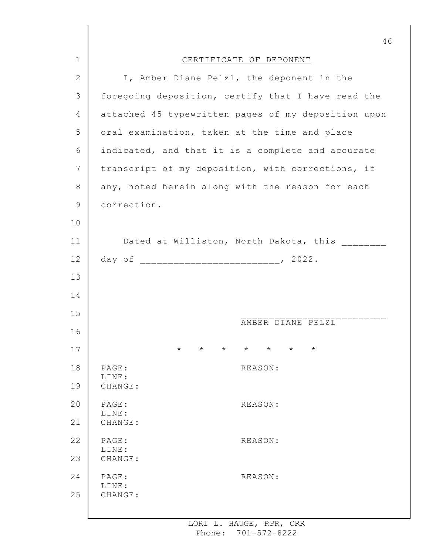|    | 46                                                                         |
|----|----------------------------------------------------------------------------|
| 1  | CERTIFICATE OF DEPONENT                                                    |
| 2  | I, Amber Diane Pelzl, the deponent in the                                  |
| 3  | foregoing deposition, certify that I have read the                         |
| 4  | attached 45 typewritten pages of my deposition upon                        |
| 5  | oral examination, taken at the time and place                              |
| 6  | indicated, and that it is a complete and accurate                          |
| 7  | transcript of my deposition, with corrections, if                          |
| 8  | any, noted herein along with the reason for each                           |
| 9  | correction.                                                                |
| 10 |                                                                            |
| 11 | Dated at Williston, North Dakota, this                                     |
| 12 |                                                                            |
| 13 |                                                                            |
| 14 |                                                                            |
| 15 | AMBER DIANE PELZL                                                          |
| 16 |                                                                            |
| 17 | $\star$<br>$\star$<br>$\star$<br>$\star$<br>$\star$<br>$\star$<br>$^\star$ |
| 18 | PAGE:<br>REASON:<br>LINE:                                                  |
| 19 | CHANGE:                                                                    |
| 20 | PAGE:<br>REASON:<br>LINE:                                                  |
| 21 | CHANGE:                                                                    |
| 22 | PAGE:<br>REASON:<br>LINE:                                                  |
| 23 | CHANGE:                                                                    |
| 24 | PAGE:<br>REASON:<br>LINE:                                                  |
| 25 | CHANGE:                                                                    |
|    |                                                                            |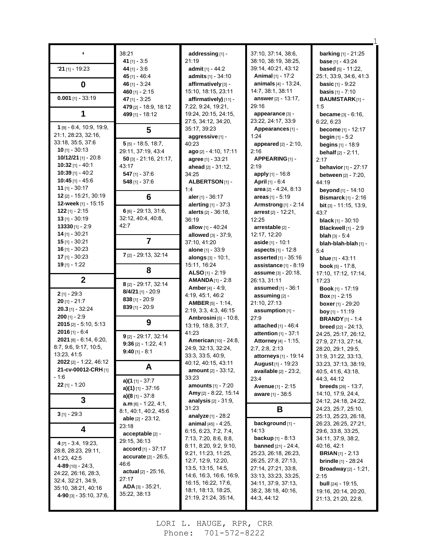|                                                      | 38:21                         | addressing [1] -                               | 37:10, 37:14, 38:6,                                   | <b>barking</b> [1] - 21:25               |
|------------------------------------------------------|-------------------------------|------------------------------------------------|-------------------------------------------------------|------------------------------------------|
|                                                      | 41 $[1] - 3:5$                | 21:19                                          | 38:10, 38:19, 38:25,                                  | <b>base</b> $[1] - 43:24$                |
| $'21$ [1] - 19:23                                    | 44 $[1] - 3.6$                | admit $[1] - 44:2$                             | 39:14, 40:21, 43:12                                   | <b>based</b> $[5] - 11:22$ ,             |
|                                                      | 45 $[1] - 46.4$               | admits [1] - 34:10                             | Animal [1] - 17:2                                     | 25:1, 33:9, 34:6, 41:3                   |
| $\bf{0}$                                             | 46 [1] - 3:24                 | affirmatively [3] -                            | animals [4] - 13:24,                                  | <b>basic</b> [1] - 9:22                  |
|                                                      | 460 $[1] - 2:15$              | 15:10, 18:15, 23:11                            | 14:7, 38:1, 38:11                                     | <b>basis</b> $[1] - 7:10$                |
| $0.001$ [1] - 33:19                                  | 47 $[1] - 3:25$               | affirmatively) [11] -                          | answer [2] - 13:17,                                   | <b>BAUMSTARK[1]-</b>                     |
|                                                      | 479 [2] - 18:9, 18:12         | 7:22, 9:24, 19:21,                             | 29:16                                                 | 1:5                                      |
| 1                                                    | 499 [1] - 18:12               | 19:24, 20:15, 24:15,                           | appearance [3] -                                      | <b>became</b> $[3] - 6:16$ ,             |
| 1 [9] - 6:4, 10:9, 19:9,                             |                               | 27:5, 34:12, 34:20,                            | 23:22, 24:17, 33:9                                    | 6:22, 6:23                               |
| 21:1, 28:23, 32:16,                                  | 5                             | 35:17, 39:23                                   | Appearances [1] -                                     | become [1] - 12:17                       |
| 33:18, 35:5, 37:6                                    |                               | aggressive [1] -                               | 1:24                                                  | <b>begin</b> $[1] - 5:2$                 |
| $10$ [1] - 30:13                                     | $5$ [5] - 18:5, 18:7,         | 40.23                                          | <b>appeared</b> $[2] - 2:10$ ,                        | <b>begins</b> $[1] - 18.9$               |
| 10/12/21 [1] - 20:8                                  | 29:11, 37:19, 43:4            | ago [2] - 4:10, 17:11                          | 2:16                                                  | <b>behalf</b> $[2] - 2:11$ ,             |
| $10:32$ [1] - 40:1                                   | $50$ [3] - 21:16, 21:17,      | agree [1] - 33:21                              | APPEARING[1]-                                         | 2:17                                     |
| $10:39$ [1] - 40:2                                   | 43:17                         | ahead $[2] - 31:12$ ,                          | 2:19                                                  | <b>behavior</b> [1] - 27:17              |
| 10:45 $[1] - 45.6$                                   | $547$ [1] - 37:6              | 34:25                                          | apply [1] - 16:8                                      | <b>between</b> [2] - 7:20,               |
| 11 [1] - 30:17                                       | 548 $[1] - 37.6$              | ALBERTSON [1] -                                | <b>April</b> [1] - $6:4$                              | 44:19                                    |
| 12 [2] - 15:21, 30:19                                |                               | 1:4                                            | area $[2] - 4:24, 8:13$                               | beyond [1] - 14:10                       |
| 12-week [1] - 15:15                                  | $6\phantom{1}6$               | aler $[1] - 36:17$                             | areas $[1] - 5:19$                                    | <b>Bismarck</b> $[1]$ - 2:16             |
| $122$ [1] - 2:15                                     | $6$ [6] - 29:13, 31:6,        | alerting [1] - 37:3                            | <b>Armstrong</b> [1] - 2:14                           | <b>bit</b> $[3] - 11:15, 13:9$           |
| $13$ [1] - 30:19                                     | 32:12, 40:4, 40:8,            | alerts $[2] - 36:18$ ,                         | arrest $[2] - 12:21$ ,                                | 43:7                                     |
| 13330 [1] - 2:9                                      | 42:7                          | 36:19                                          | 12:25                                                 | <b>black</b> $[1] - 30:10$               |
| $14$ [1] - 30:21                                     |                               | allow $[1] - 40:24$                            | arrestable [2] -                                      | <b>Blackwell</b> [1] - 2:9               |
| $15$ [1] - 30:21                                     | $\overline{7}$                | <b>allowed</b> $[3] - 37.9$ ,                  | 12:17, 12:20                                          | <b>blah</b> $[3] - 5:4$                  |
| $16$ [1] - 30:23                                     |                               | 37:10, 41:20                                   | aside [1] - 10:1                                      | blah-blah-blah [1] -                     |
| $17$ [1] - 30:23                                     | 7 [2] - 29:13, 32:14          | alone [1] - 33:9                               | <b>aspects</b> $[1] - 12.8$                           | 5:4                                      |
| $19$ [1] - 1:22                                      |                               | alongs $[3] - 10:1$ ,                          | <b>asserted</b> $[1] - 35:16$                         | <b>blue</b> $[1] - 43:11$                |
|                                                      | 8                             | 15:11, 16:24                                   | assistance $[1] - 8.19$                               | <b>book</b> $[5] - 17:8$ ,               |
|                                                      |                               | ALSO [1] - 2:19                                | assume [3] - 20:18,                                   | 17:10, 17:12, 17:14,                     |
|                                                      |                               |                                                |                                                       |                                          |
| $\mathbf{2}$                                         | 8 [2] - 29:17, 32:14          | $AMANDA_{[1]} - 2:8$                           | 26:13, 31:11                                          | 17:23                                    |
|                                                      | $8/4/21$ [1] - 20:9           | <b>Amber</b> [4] $-$ 4:9,                      | <b>assumed</b> [1] - 36:1                             | Book [1] - 17:19                         |
| $2$ [1] - 29:3                                       | $838$ [1] - 20:9              | 4:19, 45:1, 46:2                               | assuming $[2]$ -                                      | <b>Box</b> $[1]$ - 2:15                  |
| $20$ [1] - 21:7                                      | $839$ [1] - 20:9              | <b>AMBER</b> [5] - 1:14,                       | 21:10, 27:13                                          | <b>boxer</b> [1] - 29:20                 |
| $20.3$ [1] - 32:24                                   |                               | 2:19, 3:3, 4:3, 46:15                          | assumption [1] -                                      | boy [1] - 11:19                          |
| $200$ [1] - 2:9                                      | 9                             | Ambrosini [5] - 10:8,                          | 27:9                                                  | <b>BRANDY</b> [1] - 1:4                  |
| $2015$ [2] - 5:10, 5:13                              |                               | 13:19, 18:8, 31:7,                             | attached [1] - 46:4                                   | <b>breed</b> $[22] - 24:13$ ,            |
| $2016$ [1] - 6:4                                     | $9$ [2] - 29:17, 32:14        | 41:23                                          | <b>attention</b> $[1] - 37:1$                         | 24:25, 25:17, 26:12,                     |
| 2021 [8] - 6:14, 6:20,                               | $9:36$ [2] - 1:22, 4:1        | American [10] - 24:8,                          | Attorney [4] - 1:15,                                  | 27:9, 27:13, 27:14,                      |
| 8:7, 9:6, 9:17, 10:5,                                | $9:40$ [1] - 8:1              | 24:9, 32:13, 32:24,                            | 2.7, 2.8, 2.13                                        | 28:20, 29:1, 29:5,                       |
| 13:23, 41:5                                          |                               | 33.3, 33.5, 40.9,                              | attorneys [1] - 19:14                                 | 31:9, 31:22, 33:13,                      |
| <b>2022</b> [2] - 1:22, 46:12<br>21-cv-00012-CRH [1] | A                             | 40:12, 40:15, 43:11                            | August [1] - 19:23                                    | 33:23, 37:13, 38:19,                     |
| - 1:6                                                |                               | <b>amount</b> [2] - 33:12,                     | available [2] - 23:2,                                 | 40.5, 41.6, 43.18,                       |
|                                                      | a)(1 [1] - 37:7               | 33:23                                          | 23:4                                                  | 44:3, 44:12                              |
| $22$ [1] - 1:20                                      | <b>a)(1)</b> [1] - 37:16      | <b>amounts</b> [1] - 7:20                      | Avenue [1] - 2:15                                     | <b>breeds</b> $[26] - 13.7$ ,            |
|                                                      | a) $(8$ [1] - 37:8            | Amy [2] - 8:22, 15:14                          | <b>aware</b> [1] - 38:5                               | 14:10, 17:9, 24:4,                       |
| 3                                                    | $a.m$ [6] - 1:22, 4:1,        | <b>analysis</b> $[2] - 31.9$ ,                 |                                                       | 24:12, 24:18, 24:22,                     |
| $3$ [1] - 29:3                                       | 8.1, 40.1, 40.2, 45.6         | 31:23                                          | В                                                     | 24:23, 25:7, 25:10,                      |
|                                                      | able $[2] - 23:12$ ,          | <b>analyze</b> $[1]$ - 28:2                    |                                                       | 25:13, 25:23, 26:18,                     |
| 4                                                    | 23:18                         | <b>animal</b> $[45] - 4.25$ ,                  | background [1] -<br>14:13                             | 26:23, 26:25, 27:21,                     |
|                                                      | acceptable [2] -              | 6:15, 6:23, 7:2, 7:4,<br>7:13, 7:20, 8:6, 8:8, | <b>backup</b> $[1] - 8:13$                            | 29.6, 33.8, 33.25,<br>34:11, 37:9, 38:2, |
| 4 [7] - 3:4, 19:23,                                  | 29:15, 36:13                  | 8:11, 8:20, 9:2, 9:10,                         |                                                       | 40:16, 42:1                              |
| 28:8, 28:23, 29:11,                                  | <b>accord</b> [1] - $37:17$   | 9:21, 11:23, 11:25,                            | <b>banned</b> $[21] - 24.4$ ,<br>25:23, 26:18, 26:23, | <b>BRIAN</b> $[1]$ - 2:13                |
| 41:23, 42:5                                          | accurate [2] - 26:5,          | 12:7, 12:9, 12:20,                             | 26:25, 27:8, 27:13,                                   | <b>brindle</b> $[1]$ - 28:24             |
| 4-89 $[10] - 24:3$                                   | 46:6                          | 13:5, 13:15, 14:5,                             | 27:14, 27:21, 33:8,                                   | <b>Broadway</b> $[2] - 1:21$ ,           |
| 24:22, 26:16, 28:3,                                  | <b>actual</b> $[2] - 25:16$ , | 14.6, 16.3, 16.6, 16.9,                        | 33:13, 33:23, 33:25,                                  | 2:15                                     |
| 32:4, 32:21, 34:9,                                   | 27:17                         | 16:15, 16:22, 17:6,                            | 34:11, 37:9, 37:13,                                   | <b>bull</b> $[24]$ - 19:15,              |
| 35:10, 38:21, 40:16                                  | $ADA_{[3]} - 35.21,$          | 18:1, 18:13, 18:25,                            | 38:2, 38:18, 40:16,                                   | 19:16, 20:14, 20:20,                     |
| 4-90 $[3]$ - 35:10, 37:6,                            | 35:22, 38:13                  | 21:19, 21:24, 35:14,                           | 44:3, 44:12                                           | 21:13, 21:20, 22:8,                      |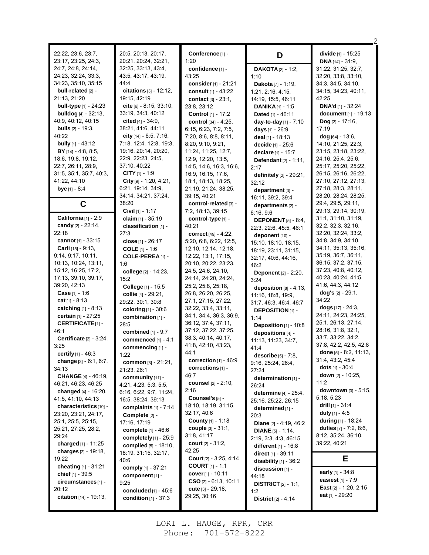| 22:22, 23:6, 23:7,<br>23:17, 23:25, 24:3, | 20:5, 20:13, 20:17,<br>20:21, 20:24, 32:21, | Conference <sup>[1]</sup> -<br>1:20         | D                                         | divide [1] - 15:25<br><b>DNA</b> $[14] - 31:9$ |
|-------------------------------------------|---------------------------------------------|---------------------------------------------|-------------------------------------------|------------------------------------------------|
| 24:7, 24:8, 24:14,                        | 32.25, 33.13, 43.4,                         | confidence [1] -                            | <b>DAKOTA</b> [2] - 1:2,                  | 31:22, 31:25, 32:7,                            |
| 24.23, 32:24, 33:3,                       | 43.5, 43.17, 43.19,                         | 43:25                                       | 1:10                                      | 32:20, 33:8, 33:10,                            |
| 34:23, 35:10, 35:15                       | 4444                                        | consider $[1] - 21:21$                      | Dakota [7] - 1:19,                        | 34:3, 34:5, 34:10,                             |
| bull-related [2] -                        | <b>citations</b> $[3] - 12:12$ ,            | consult [1] - 43:22                         | 1:21, 2:16, 4:15,                         | 34:15, 34:23, 40:11,                           |
| 21:13, 21:20                              | 19:15, 42:19                                | contact [3] - 23:1,                         | 14:19, 15:5, 46:11                        | 42:25                                          |
| <b>bull-type</b> $[1]$ - 24:23            | cite $[6]$ - 8:15, 33:10,                   | 23:8, 23:12                                 | <b>DANIKA</b> $[1]$ - 1:5                 | <b>DNA'd [1] - 32:24</b>                       |
| <b>bulldog</b> $[4] - 32:13$ ,            | 33:19, 34:3, 40:12                          | Control [1] - 17:2                          | Dated $[1] - 46:11$                       | document [1] - 19:13                           |
| 40.9, 40.12, 40.15                        | cited $[4] - 34.9$ .                        | control [34] - 4:25,                        | day-to-day [1] - 7:10                     | $\log_{12}$ - 17:16,                           |
| <b>bulls</b> $[2] - 19.3$                 | 38:21, 41:6, 44:11                          | 6:15, 6:23, 7:2, 7:5,                       | days [1] - 26:9                           | 17:19                                          |
| 40:22                                     | city $[14] - 6.5, 7.16$ ,                   | 7:20, 8:6, 8:8, 8:11,                       | deal $[1] - 18:13$                        | $dog$ [64] - 13:6,                             |
| <b>bully</b> $[1] - 43:12$                | 7:18, 12:4, 12:8, 19:3,                     | 8:20, 9:10, 9:21,                           | decide [1] - 25:6                         | 14:10, 21:25, 22:3,                            |
| BY [14] - 4:8, 8:5,                       | 19:16, 20:14, 20:20,                        | 11:24, 11:25, 12:7,                         | declare [1] - 15:7                        | 23:15, 23:18, 23:22,                           |
| 18:6, 19:8, 19:12,                        | 22:9, 22:23, 24:5,                          | 12:9, 12:20, 13:5,                          | <b>Defendant</b> $[2] - 1:11$ ,           | 24:16, 25:4, 25:6,                             |
| 22:7, 26:11, 28:9,                        | 37:10, 40:22                                | 14:5, 14:6, 16:3, 16:6,                     | 2:17                                      | 25:17, 25:20, 25:22,                           |
| 31:5, 35:1, 35:7, 40:3,                   | CITY $[1] - 1.9$                            | 16.9, 16.15, 17.6,                          | definitely [2] - 29:21,                   | 26:15, 26:16, 26:22,                           |
| 41:22, 44:10                              | City $[9] - 1.20, 4.21,$                    | 18:1, 18:13, 18:25,                         | 32:12                                     | 27:10, 27:12, 27:13,                           |
| <b>bye</b> [1] - 8:4                      | 6:21, 19:14, 34:9,<br>34:14, 34:21, 37:24,  | 21:19, 21:24, 38:25,<br>39:15, 40:21        | department [3] -                          | 27:18, 28:3, 28:11,<br>28:20, 28:24, 28:25,    |
|                                           | 38:20                                       | control-related [3] -                       | 16:11, 39:2, 39:4                         | 29:4, 29:5, 29:11,                             |
| C                                         | Civil [1] - 1:17                            | 7:2, 18:13, 39:15                           | departments [2] -                         | 29:13, 29:14, 30:19,                           |
| California [1] - 2:9                      | claim [1] - 35:19                           | control-type [1] -                          | 6.16, 9.6                                 | 31:1, 31:10, 31:19,                            |
| candy [2] - 22:14,                        | classification [1] -                        | 40.21                                       | <b>DEPONENT</b> [5] $-8.4$ ,              | 32:2, 32:3, 32:16,                             |
| 22:18                                     | 27:3                                        | correct [49] - 4:22,                        | 22:3, 22:6, 45:5, 46:1<br>deponent [10] - | 32:20, 32:24, 33:2,                            |
| cannot $[1] - 33:15$                      | close [1] - 26:17                           | 5:20, 6:8, 6:22, 12:5,                      | 15:10, 18:10, 18:15,                      | 34:8, 34:9, 34:10,                             |
| Carli [15] - 9:13,                        | <b>COLE</b> $[1] - 1.6$                     | 12:10, 12:14, 12:18,                        | 18:19, 23:11, 31:15,                      | 34:11, 35:13, 35:16,                           |
| 9:14, 9:17, 10:11,                        | COLE-PEREA <sub>[1]</sub> -                 | 12:22, 13:1, 17:15,                         | 32:17, 40:6, 44:16,                       | 35:19, 36:7, 36:11,                            |
| 10:13, 10:24, 13:11,                      | 1:6                                         | 20:10, 20:22, 23:23,                        | 46:2                                      | 36:15, 37:2, 37:15,                            |
| 15:12, 16:25, 17:2,                       | college [2] - 14:23,                        | 24:5, 24:6, 24:10,                          | Deponent [2] - 2:20,                      | 37:23, 40:8, 40:12,                            |
| 17:13, 39:10, 39:17,                      | 15:2                                        | 24:14, 24:20, 24:24,                        | 3:24                                      | 40:23, 40:24, 41:5,                            |
| 39:20, 42:13                              | College [1] - 15:5                          | 25.2, 25.8, 25.18,                          | deposition [8] - 4:13,                    | 41.6, 44.3, 44.12                              |
| <b>Case</b> [1] - 1:6                     | collie [4] - 29:21,                         | 26.8, 26.20, 26.25,                         | 11:16, 18:8, 19:9,                        | dog's [2] - 29:1,                              |
| cat $[1] - 8.13$                          | 29:22, 30:1, 30:8                           | 27:1, 27:15, 27:22,                         | 31:7, 46:3, 46:4, 46:7                    | 34:22                                          |
| <b>catching</b> $[1] - 8.13$              | coloring [1] - 30:6                         | 32:22, 33:4, 33:11,                         | <b>DEPOSITION</b> [1] -                   | dogs [17] - 24:3,                              |
| certain [1] - 27:25                       | combination [1] -                           | 34:1, 34:4, 36:3, 36:9,                     | 1:14                                      | 24:11, 24:23, 24:25,<br>25:1, 26:13, 27:14,    |
| <b>CERTIFICATE[1]-</b>                    | 28:5                                        | 36:12, 37:4, 37:11,                         | Deposition [1] - 10:8                     | 28:16, 31:8, 32:1,                             |
| 46:1                                      | <b>combined</b> [1] - 9:7                   | 37:12, 37:22, 37:25,<br>38:3, 40:14, 40:17, | depositions [4] -                         | 33:7, 33:22, 34:2,                             |
| Certificate $[2] - 3.24$ ,<br>3:25        | commenced $[1] - 4:1$                       | 41.8, 42.10, 43.23,                         | 11:13, 11:23, 34:7,                       | 37:8, 42:2, 42:5, 42:8                         |
| certify $[1] - 46.3$                      | commencing [1] -                            | 44:1                                        | 41.4                                      | done $[5] - 8.2, 11.13,$                       |
| change $[3] - 6:1, 6:7,$                  | 1:22                                        | correction [1] - 46:9                       | <b>describe</b> $[5] - 7:8$ ,             | 31:4, 43:2, 45:4                               |
| 34:13                                     | common [3] - 21:21,<br>21:23, 26:1          | corrections $[1]$ -                         | 9:16, 25:24, 26:4,<br>27:24               | dots $[1] - 30:4$                              |
| <b>CHANGE</b> [4] - 46:19,                | community [11] -                            | 46:7                                        | determination [1] -                       | down $[2] - 10:25$ ,                           |
| 46:21, 46:23, 46:25                       | 4:21, 4:23, 5:3, 5:5,                       | counsel [2] - 2:10,                         | 26:24                                     | 11:2                                           |
| changed $[4] - 16:20$ ,                   | 6:16, 6:22, 9:7, 11:24,                     | 2:16                                        | determine [4] - 25:4,                     | <b>downtown</b> $[3] - 5:15$                   |
| 41:5, 41:10, 44:13                        | 16:5, 38:24, 39:13                          | Counsel's [5] -                             | 25:16, 25:22, 26:15                       | 5:18, 5:23                                     |
| characteristics [10] -                    | complaints $[1]$ - 7:14                     | 18:10, 18:19, 31:15,                        | determined [1] -                          | drill $[1]$ - 31:4                             |
| 23:20, 23:21, 24:17,                      | Complete [2] -                              | 32:17, 40:6                                 | 20:3                                      | duly $[1] - 4.5$                               |
| 25:1, 25:5, 25:15,                        | 17:16, 17:19                                | <b>County</b> $[1] - 1:18$                  | <b>Diane</b> $[2] - 4.19, 46.2$           | during [1] - 18:24                             |
| 25:21, 27:25, 28:2,                       | complete [1] - 46:6                         | couple [3] - 31:1,                          | <b>DIANE</b> [5] - 1:14,                  | duties $[7] - 7:2, 8:6,$                       |
| 29:24                                     | completely [1] - 25:9                       | 31:8, 41:17                                 | 2:19, 3:3, 4:3, 46:15                     | 8:12, 35:24, 36:10,                            |
| charged $[1] - 11:25$                     | <b>complied</b> [5] - 18:10,                | <b>court</b> $[2] - 31:2$ ,                 | <b>different</b> $[1] - 16.8$             | 39:22, 40:21                                   |
| charges $[2] - 19:18$ ,                   | 18:19, 31:15, 32:17,                        | 42:25                                       | direct [1] - 39:11                        |                                                |
| 19:22                                     | 40:6                                        | Court [2] - 3:25, 4:14<br>$COUNT[1] - 1:1$  | disability $[1]$ - $36:2$                 | Е                                              |
| cheating [1] - 31:21<br>chief [1] - 39:5  | comply [1] - 37:21                          | cover $[1] - 10:11$                         | discussion [1] -                          | early [1] - 34:8                               |
| circumstances [1] -                       | component [1] -                             | $CSO$ [2] - 6:13, 10:11                     | 44:18                                     | easiest $[1] - 7:9$                            |
| 20:12                                     | 9:25<br>concluded $[1] - 45:6$              | <b>cute</b> $[3] - 29:18$                   | <b>DISTRICT</b> $[2] - 1:1$ ,             | East [2] - 1:20, 2:15                          |
| citation [14] - 19:13,                    |                                             | 29:25, 30:16                                | 1:2                                       | eat [1] - 29:20                                |
|                                           | condition $[1]$ - 37:3                      |                                             | <b>District</b> $[2] - 4:14$              |                                                |

2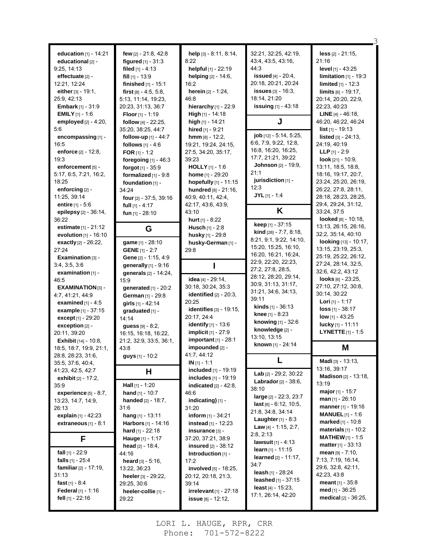| education $[1] - 14:21$                  | few [2] - 21:8, 42:8         | help [3] - 8:11, 8:14,                           | 32:21, 32:25, 42:19,           | $less$ [2] - 21:15,                        |
|------------------------------------------|------------------------------|--------------------------------------------------|--------------------------------|--------------------------------------------|
| educational [2] -                        | figured $[1] - 31:3$         | 8:22                                             | 43.4, 43.5, 43.16,             | 21:16                                      |
| 9:25, 14:13                              | filed $[1] - 4:13$           | helpful [1] - 22:19                              | 44:3                           | level [1] - 43:25                          |
| $effectuate$ [2] -                       | $fill$ [1] - 13:9            | helping [2] - 14:6,                              | issued $[4] - 20:4$ ,          | limitation $[1]$ - 19:3                    |
| 12:21, 12:24                             | finished [1] - 15:1          | 16.2                                             | 20:18, 20:21, 20:24            | <b>limited</b> $[1] - 12:3$                |
| either $[3] - 19:1$ ,                    | first $[8] - 4.5, 5.8,$      | herein [2] - 1:24,                               | <b>issues</b> $[3] - 16:3$ ,   | $\lim$ its $[6] - 19:17$ ,                 |
| 25:9, 42:13                              | 5:13, 11:14, 19:23,          | 46:8                                             | 18:14, 21:20                   | 20:14, 20:20, 22:9,                        |
| <b>Embark</b> $[1] - 31:9$               | 20:23, 31:13, 36:7           | hierarchy $[1]$ - 22:9                           | <b>issuing</b> [1] - 43:18     | 22:23, 40:23                               |
| <b>EMILY</b> $[1] - 1.6$                 | <b>Floor</b> $[1]$ - 1:19    | <b>High</b> $[1]$ - 14:18                        |                                | <b>LINE</b> $[4] - 46:18$                  |
| employed $[2] - 4:20$ ,                  | follow [4] - 22:25,          | high $[1]$ - 14:21                               | J                              | 46:20, 46:22, 46:24                        |
| 5:6                                      | 35:20, 38:25, 44:7           | hired $[1] - 9:21$                               |                                | <b>list</b> $[1]$ - 19:13                  |
| encompassing [1] -                       | follow-up $[1]$ - 44:7       | $hmm$ [8] - 12:2,                                | job [12] - 5:14, 5:25,         | <b>listed</b> $[3] - 24:13$ ,              |
| 16:5                                     | follows $[1] - 4.6$          | 19:21, 19:24, 24:15,                             | 6.6, 7.9, 9.22, 12.8,          | 24:19, 40:19                               |
| enforce $[2] - 12.8$ ,                   | FOR $[1] - 1.2$              | 27:5, 34:20, 35:17,                              | 16:8, 16:20, 16:25,            | <b>LLP</b> $[1] - 2:9$                     |
| 19:3                                     | foregoing $[1]$ - 46:3       | 39.23                                            | 17:7, 21:21, 39:22             | look $[21] - 10:9$ ,                       |
| enforcement [5] -                        | forgot $[1] - 35.9$          | <b>HOLLY</b> $[1] - 1.6$                         | <b>Johnson</b> [2] - 19:9,     | 13:11, 18:5, 18:8,                         |
| 5:17, 6:5, 7:21, 16:2,                   | formalized $[1]$ - $9:8$     | home [1] - 29:20                                 | 21:1                           | 18:16, 19:17, 20:7,                        |
| 18:25                                    | foundation [1] -             | hopefully $[1]$ - 11:15                          | jurisdiction [1] -             | 23:24, 25:20, 26:19,                       |
| enforcing [2] -                          | 34:24                        | hundred [8] - 21:16,                             | 12:3                           | 26:22, 27:8, 28:11,                        |
| 11:25, 39:14                             | four [2] - 37:5, 39:16       | 40.9, 40.11, 42.4,                               | $JYL$ [1] - 1:4                | 28:18, 28:23, 28:25,                       |
| <b>entire</b> $[1] - 5.6$                | full $[1] - 4:17$            | 42:17, 43:6, 43:9,                               |                                | 29:4, 29:24, 31:12,                        |
| epilepsy [2] - 36:14,                    | fun $[1]$ - 28:10            | 43:10                                            | K                              | 33:24, 37:5                                |
| 36:22                                    |                              | <b>hurt</b> $[1] - 8:22$                         | keep [1] - 37:15               | looked [8] - 10:18,                        |
| estimate [1] - 21:12                     | G                            | <b>Husch</b> $[1] - 2:8$                         | kind [28] - 7:7, 8:18,         | 13:13, 26:15, 26:16,                       |
| evolution $[1]$ - 16:10                  |                              | husky [1] - 29:8                                 | 8.21, 9.1, 9.22, 14:10,        | 32:2, 35:14, 40:10                         |
| exactly [2] - 26:22,                     | game [1] - 28:10             | husky-German [1] -                               | 15:20, 15:25, 16:10,           | looking [13] - 10:17,                      |
| 27:24                                    | <b>GENE</b> $[1] - 2:7$      | 29.8                                             | 16:20, 16:21, 16:24,           | 13:15, 23:19, 25:3,                        |
| <b>Examination</b> $[3]$ -               | Gene [2] - 1:15, 4:9         |                                                  | 22.9, 22.20, 22.23,            | 25:19, 25:22, 26:12,                       |
| 3.4, 3.5, 3.6                            | generally $[1]$ - 9:16       |                                                  | 27:2, 27:8, 28:5,              | 27:24, 28:14, 32:5,                        |
| examination $[1]$ -                      | generals [2] - 14:24,        |                                                  | 28:12, 28:20, 29:14,           | 32:6, 42:2, 43:12                          |
| 46:5                                     | 15:9                         | idea [4] - 29:14,                                | 30.9, 31.13, 31.17,            | looks $[6] - 23:25$ ,                      |
| <b>EXAMINATION [3] -</b>                 | generated [1] - 20:2         | 30:18, 30:24, 35:3                               | 31:21, 34:6, 34:13,            | 27:10, 27:12, 30:8,                        |
| 4:7, 41:21, 44:9                         | German [1] - 29:8            | identified $[2] - 20:3$ ,                        | 39:11                          | 30:14, 30:22                               |
| examined $[1] - 4.5$                     | girls $[1] - 42:14$          | 20:25                                            | <b>kinds</b> $[1] - 36:13$     | <b>Lori</b> [1] - 1:17<br>loss [1] - 38:17 |
| example [1] - 37:15                      | qraduated [1] -              | <b>identifies</b> [3] - 19:15,                   | knee [1] - 8:23                |                                            |
| except [1] - 29:20                       | 14:14                        | 20:17, 24:4                                      | knowing [1] - 32:6             | low $[1] - 43:25$                          |
| exception [2] -                          | guess [9] - 8:2,             | <b>identify</b> [1] - 13:6                       | knowledge [2] -                | lucky [1] - 11:11                          |
| 20:11, 39:20                             | 16:15, 16:18, 16:22,         | <b>implicit</b> $[1] - 27:9$                     | 13:10, 13:15                   | <b>LYNETTE</b> $[1]$ - 1:5                 |
| <b>Exhibit</b> $[14] - 10.8$ ,           | 21:2, 32:9, 33:5, 36:1,      | important [1] - 28:1                             | known [1] - 24:14              |                                            |
| 18.5, 18.7, 19.9, 21:1,                  | 43:8                         | impounded [2] -                                  |                                | Μ                                          |
| 28:8, 28:23, 31:6,                       | guys [1] - 10:2              | 41.7, 44.12<br>$IN [1] - 1:1$                    | L                              | Madi [3] - 13:13,                          |
| 35.5, 37.6, 40.4,                        |                              | included [1] - 19:19                             |                                | 13:16, 39:17                               |
| 41:23, 42:5, 42:7<br>exhibit [2] - 17:2, | н                            | includes [1] - 19:19                             | Lab [2] - 29:2, 30:22          | <b>Madison</b> [2] - 13:18,                |
| 35:9                                     | Hall [1] - 1:20              | indicated $[2] - 42.8$ ,                         | Labrador [2] - 38:6,           | 13:19                                      |
| experience $[5] - 8:7$ ,                 | <b>hand</b> $[1] - 10:7$     | 46:6                                             | 38:10                          | major [1] - 15:7                           |
| 13:23, 14:7, 14:9,                       |                              |                                                  | large [2] - 22:3, 23:7         | $\text{man}$ [1] - 26:10                   |
|                                          |                              |                                                  |                                |                                            |
|                                          | <b>handed</b> $[2] - 18:7$ , | indicating) [1] -                                | $last$ [6] - 6:12, 10:5,       |                                            |
| 26:13                                    | 31:6                         | 31:20                                            | 21:8, 34:8, 34:14              | manner [1] - 19:16                         |
| explain [1] - 42:23                      | hang [1] - 13:11             | inform $[1] - 34:21$                             | <b>Laughter</b> $[1] - 8.3$    | <b>MANUEL</b> $[1] - 1.6$                  |
| extraneous $[1] - 8:1$                   | Harbors [1] - 14:16          | instead [1] - 12:23                              | <b>Law</b> [4] - 1:15, 2:7,    | marked [1] - 10:8                          |
|                                          | <b>hard</b> [1] - 22:18      | insurance [3] -                                  | 2:8, 2:13                      | $\text{materials}$ [1] - 10:2              |
| F                                        | Hauge [1] - 1:17             | 37:20, 37:21, 38:9                               | <b>lawsuit</b> $[1] - 4:13$    | <b>MATHEW</b> [1] - 1:5                    |
|                                          | <b>head</b> $[2] - 18.4$ ,   | <b>insured</b> $[2] - 38:12$                     | <b>learn</b> [1] - 11:15       | <b>matter</b> $[1] - 33:13$                |
| fall $[1]$ - 22:9                        | 44:16                        | Introduction [1] -                               | <b>learned</b> $[2] - 11:17$ , | mean $[9] - 7:10$ ,                        |
| falls $[1] - 25.4$                       | heard $[3] - 5:16$ ,         | 17:2                                             | 34:7                           | 7:13, 7:19, 16:14,                         |
| <b>familiar</b> $[2] - 17:19$ ,          | 13:22, 36:23                 | involved [5] - 18:25,                            | leash [1] - 28:24              | 29:6, 32:8, 42:11,                         |
| 31:13                                    | <b>heeler</b> $[3]$ - 29:22, | 20:12, 20:18, 21:3,                              | <b>leashed</b> $[1] - 37:15$   | 42:23, 43:8                                |
| fast $[1] - 8.4$                         | 29:25, 30:6                  | 39:14                                            | <b>least</b> $[4] - 15:23$ ,   | <b>meant</b> $[1] - 35.8$                  |
| Federal [1] - 1:16<br>fell [1] - 22:16   | heeler-collie [1] -<br>29:22 | $irrelevant_{[1]} - 27:18$<br>issue [8] - 12:12, | 17:1, 26:14, 42:20             | med $[1] - 36:25$<br>medical [2] - 36:25,  |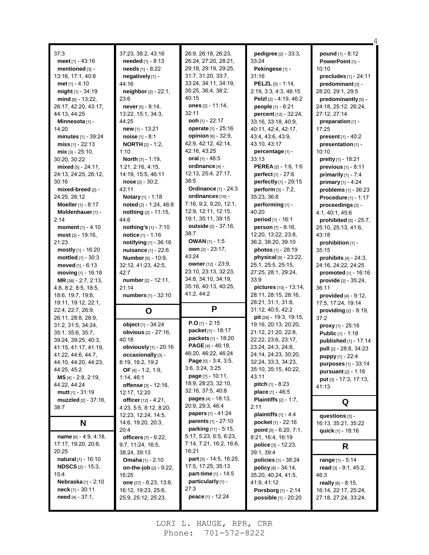| 37:3<br>meet $[1] - 43:16$<br>mentioned [3] -<br>13:16, 17:1, 40:8<br><b>met</b> $[1] - 4:10$<br>might [1] - 34:19<br>$mid$ [6] - 13:22,<br>26:17, 42:20, 43:17,<br>44:13, 44:25<br>Minnesota [1] -<br>14:20<br>minutes [1] - 39:24<br>miss $[1] - 22:13$<br>$mix$ [3] - 25:10,<br>30:20, 30:22<br>mixed [5] - 24:11,<br>24:13, 24:25, 26:12,<br>30:16<br>mixed-breed [2] -<br>24:25, 26:12<br>Moeller [1] - 8:17<br>Moldenhauer [1] -<br>2:14<br><b>moment</b> $[1] - 4:10$<br>$most [2] - 19.16,$<br>21:23<br>mostly [1] - 16:20<br>mottled [1] - 30:3<br>moved $[1] - 6:13$ | 37:23, 38:2, 43:16<br><b>needed</b> $[1] - 8:13$<br>needs [1] - 8:22<br>negatively [1] -<br>44:16<br>neighbor [2] - 22:1,<br>23:6<br>never $[5] - 8:14$ ,<br>13:22, 15:1, 34:3,<br>44:25<br>new [1] - 13:21<br>noise [1] - 8:1<br><b>NORTH</b> [2] - 1:2,<br>1:10<br><b>North</b> $[7] - 1:19$ ,<br>1:21, 2:16, 4:15,<br>14:19, 15:5, 46:11<br>$\textbf{noise}$ [2] - 30:2,<br>43:11<br>Notary [1] - 1:18<br>noted [2] - 1:24, 46:8<br>nothing [2] - 11:15,<br>44:6<br>nothing's $[1] - 7:10$<br>notice [1] - 1:16<br>notifying [1] - 36:16<br>nuisance [1] - 22:6<br><b>Number</b> [5] - 10:9,<br>32:12, 41:23, 42:5, | 26.9, 26.18, 26:23,<br>26:24, 27:20, 28:21,<br>29:18, 29:19, 29:25,<br>31:7, 31:20, 33:7,<br>33:24, 34:11, 34:19,<br>35:25, 36:4, 38:2,<br>40:15<br>ones [2] - 11:14,<br>32:11<br>ooh [1] - 22:17<br>operate [1] - 25:16<br><b>opinion</b> [6] - 32:9,<br>42.9, 42.12, 42.14,<br>42:16, 43:25<br>oral [1] - 46:5<br>ordinance [4] -<br>12:13, 25:4, 27:17,<br>38:5<br><b>Ordinance</b> [1] - 24:3<br>ordinances [10] -<br>7:16, 9:2, 9:20, 12:1,<br>12:9, 12:11, 12:15,<br>19:1, 35:11, 39:15<br>outside [2] - 37:16,<br>38:7<br><b>OWAN</b> $[1]$ - 1:5<br>own [2] - 23:17,<br>43:24<br><b>owner</b> [12] - 23:9,<br>23:10, 23:13, 32:23, | pedigree [2] - 33:3,<br>33:24<br>Pekingese [1] -<br>31:16<br><b>PELZL</b> [5] - 1:14,<br>2.19, 3.3, 4.3, 46.15<br><b>Pelzi</b> [2] - 4.19, 46.2<br>people [1] - 6:21<br>percent [12] - 32:24,<br>33:16, 33:18, 40:9,<br>40.11, 42:4, 42:17,<br>43:4, 43:6, 43:9,<br>43:10, 43:17<br>percentage [1] -<br>33:13<br><b>PEREA</b> $[2] - 1.6, 1.6$<br>perfect [1] - 27:6<br>perfectly [1] - 29:15<br><b>perform</b> $[3] - 7:2$ ,<br>35:23, 36:8<br>performing [1] -<br>40:20<br>period [1] - 16:1<br>person [7] - 8:16,<br>12:20, 13:22, 23:8,<br>36:2, 38:20, 39:10<br>photos [1] - 28:19<br>physical [8] - 23:22,<br>25:1, 25:5, 25:15, | <b>pound</b> $[1] - 8:12$<br>PowerPoint [1] -<br>10:10<br>precludes [1] - 24:11<br>predominant [3] -<br>28:20, 29:1, 29:5<br>predominantly [5] -<br>24:18, 25:12, 26:24,<br>27:12, 27:14<br>preparation [1] -<br>17:25<br>present [1] - 40:2<br>presentation [1] -<br>10:10<br><b>pretty</b> $[1]$ - 18:21<br>previous [1] - 8:11<br>primarily $[1]$ - $7:4$<br>primary [1] - 4:24<br>problems [1] - 36:23<br>Procedure [1] - 1:17<br>proceedings [3] -<br>4:1, 40:1, 45:6<br>prohibited [5] - 25:7,<br>25:10, 25:13, 41:6,<br>43:18<br>prohibition [1] -<br>35:15<br>prohibits $[4]$ - 24:3,<br>24:16, 24:22, 24:25 |
|--------------------------------------------------------------------------------------------------------------------------------------------------------------------------------------------------------------------------------------------------------------------------------------------------------------------------------------------------------------------------------------------------------------------------------------------------------------------------------------------------------------------------------------------------------------------------------|------------------------------------------------------------------------------------------------------------------------------------------------------------------------------------------------------------------------------------------------------------------------------------------------------------------------------------------------------------------------------------------------------------------------------------------------------------------------------------------------------------------------------------------------------------------------------------------------------------------------|--------------------------------------------------------------------------------------------------------------------------------------------------------------------------------------------------------------------------------------------------------------------------------------------------------------------------------------------------------------------------------------------------------------------------------------------------------------------------------------------------------------------------------------------------------------------------------------------------------------------------------------------|----------------------------------------------------------------------------------------------------------------------------------------------------------------------------------------------------------------------------------------------------------------------------------------------------------------------------------------------------------------------------------------------------------------------------------------------------------------------------------------------------------------------------------------------------------------------------------------------------------------------------------------|----------------------------------------------------------------------------------------------------------------------------------------------------------------------------------------------------------------------------------------------------------------------------------------------------------------------------------------------------------------------------------------------------------------------------------------------------------------------------------------------------------------------------------------------------------------------------------------------------------------------|
| moving [1] - 16:18<br><b>MR</b> [38] $- 2.7, 2.13,$                                                                                                                                                                                                                                                                                                                                                                                                                                                                                                                            | 42:7<br>number [2] - 12:11,                                                                                                                                                                                                                                                                                                                                                                                                                                                                                                                                                                                            | 34:8, 34:10, 34:19,<br>35:16, 40:13, 40:25,                                                                                                                                                                                                                                                                                                                                                                                                                                                                                                                                                                                                | 27:25, 28:1, 29:24,<br>33:9<br>pictures [10] - 13:14,                                                                                                                                                                                                                                                                                                                                                                                                                                                                                                                                                                                  | promoted [1] - 16:16<br>provide [2] - 35:24,                                                                                                                                                                                                                                                                                                                                                                                                                                                                                                                                                                         |
| 4.8, 8.2, 8.5, 18.5,<br>18.6, 19.7, 19.8,<br>19:11, 19:12, 22:1,<br>22:4, 22:7, 26:9,                                                                                                                                                                                                                                                                                                                                                                                                                                                                                          | 21:14<br>numbers [1] - 32:10<br>O                                                                                                                                                                                                                                                                                                                                                                                                                                                                                                                                                                                      | 41.2, 44.2<br>P                                                                                                                                                                                                                                                                                                                                                                                                                                                                                                                                                                                                                            | 28:11, 28:15, 28:16,<br>28:21, 31:1, 31:8,<br>31:12, 40:5, 42:2                                                                                                                                                                                                                                                                                                                                                                                                                                                                                                                                                                        | 36:11<br>provided [4] - 9:12,<br>17:5, 17:24, 19:14<br>providing [2] - 8:19,                                                                                                                                                                                                                                                                                                                                                                                                                                                                                                                                         |
| 26:11, 28:8, 28:9,<br>31:2, 31:5, 34:24,<br>35:1, 35:6, 35:7,<br>39:24, 39:25, 40:3,<br>41:15, 41:17, 41:19,<br>41:22, 44:6, 44:7,<br>44:10, 44:20, 44:23,<br>44:25, 45:2<br>$MS$ [4] - 2:8, 2:19,<br>44:22, 44:24<br><b>mutt</b> $[1] - 31:19$                                                                                                                                                                                                                                                                                                                                | object [1] - 34:24<br><b>obvious</b> [2] - 27:16,<br>40:18<br>obviously [1] - 20:16<br>occasionally [3] -<br>8:19, 16:2, 19:2<br>OF $[4] - 1:2, 1:9,$<br>1:14, 46:1<br>offense [3] - 12:16,<br>12:17, 12:20                                                                                                                                                                                                                                                                                                                                                                                                            | $P.O$ [1] - 2:15<br>packet <sub>[1]</sub> - 18:17<br>packets [1] - 18:20<br><b>PAGE</b> $[4] - 46:18$ ,<br>46:20, 46:22, 46:24<br><b>Page</b> $[5]$ - 3:4, 3:5,<br>3:6, 3:24, 3:25<br>page [7] - 10:11,<br>18:9, 28:23, 32:10,<br>32:16, 37:5, 40:8                                                                                                                                                                                                                                                                                                                                                                                        | pit [26] - 19:3, 19:15,<br>19:16, 20:13, 20:20,<br>21:12, 21:20, 22:8,<br>22:22, 23:6, 23:17,<br>23:24, 24:3, 24:8,<br>24:14, 24:23, 30:20,<br>32:24, 33:3, 34:23,<br>35:10, 35:15, 40:22,<br>43:11<br><b>pitch</b> $[1] - 8.23$<br><b>place</b> $[1] - 46.5$                                                                                                                                                                                                                                                                                                                                                                          | 37:2<br><b>proxy</b> [1] - $25:16$<br><b>Public [1] - 1:18</b><br>published [1] - 17:14<br>pull [2] - 28:8, 34:23<br>puppy [1] - 22:4<br><b>purposes</b> $[1] - 33.14$<br><b>pursuant</b> $[2] - 1:16$<br><b>put</b> $[3] - 17:3, 17:13,$<br>41:13                                                                                                                                                                                                                                                                                                                                                                   |
| <b>muzzled</b> [2] - 37:16,<br>38:7                                                                                                                                                                                                                                                                                                                                                                                                                                                                                                                                            | officer $[12] - 4.21$ ,<br>4:23, 5:5, 8:12, 8:20,                                                                                                                                                                                                                                                                                                                                                                                                                                                                                                                                                                      | <b>pages</b> $[4] - 18.13$ ,<br>20:9, 29:3, 46:4                                                                                                                                                                                                                                                                                                                                                                                                                                                                                                                                                                                           | <b>Plaintiffs</b> $[2] - 1:7$ ,<br>2:11                                                                                                                                                                                                                                                                                                                                                                                                                                                                                                                                                                                                | Q                                                                                                                                                                                                                                                                                                                                                                                                                                                                                                                                                                                                                    |
| N<br>name $[6] - 4.9, 4.18,$                                                                                                                                                                                                                                                                                                                                                                                                                                                                                                                                                   | 12:23, 12:24, 14:5,<br>14:6, 19:20, 20:3,<br>20:4<br><b>officers</b> $[7] - 6:22$                                                                                                                                                                                                                                                                                                                                                                                                                                                                                                                                      | <b>papers</b> $[1] - 41:24$<br><b>parents</b> $[1]$ - 27:10<br><b>parking</b> $[11] - 5:15$ ,<br>5:17, 5:23, 6:5, 6:23,                                                                                                                                                                                                                                                                                                                                                                                                                                                                                                                    | plaintiffs $[1] - 4.4$<br>pocket <sub>[1]</sub> - 22:16<br>point $[5] - 6:20, 7:1$ ,<br>8:21, 16:4, 16:19                                                                                                                                                                                                                                                                                                                                                                                                                                                                                                                              | questions [3] -<br>16:13, 35:21, 35:22<br>quick [1] - 18:16                                                                                                                                                                                                                                                                                                                                                                                                                                                                                                                                                          |
| 17:17, 19:20, 20:8,<br>20:25<br><b>natural</b> [1] - 16:10<br><b>NDSCS</b> [2] - 15:3,<br>15:4                                                                                                                                                                                                                                                                                                                                                                                                                                                                                 | 9:7, 11:24, 16:5,<br>38:24, 39:13<br><b>Omaha</b> $[1] - 2:10$<br>on-the-job $[2]$ - $9.22$ ,                                                                                                                                                                                                                                                                                                                                                                                                                                                                                                                          | 7:14, 7:21, 16:2, 16:6,<br>16:21<br>part [5] - 14:5, 16:25,<br>17:5, 17:25, 35:13                                                                                                                                                                                                                                                                                                                                                                                                                                                                                                                                                          | <b>police</b> $[3]$ - 12:23,<br>39:1, 39:4<br><b>policies</b> $[1]$ - 38:24                                                                                                                                                                                                                                                                                                                                                                                                                                                                                                                                                            | R<br>range [1] - 5:14                                                                                                                                                                                                                                                                                                                                                                                                                                                                                                                                                                                                |

4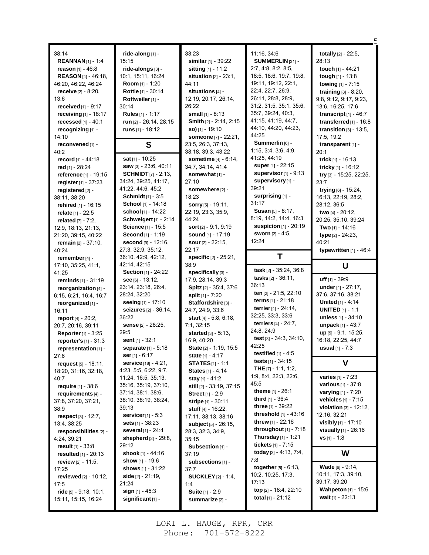| 38:14                                 |                                                 | 33:23                                   | 11:16, 34:6                                    | totally [2] - 22:5,                            |
|---------------------------------------|-------------------------------------------------|-----------------------------------------|------------------------------------------------|------------------------------------------------|
| <b>REANNAN</b> [1] - 1:4              | ride-along [1] -<br>15:15                       | similar $[1] - 39:22$                   | SUMMERLIN [31] -                               | 28:13                                          |
|                                       |                                                 |                                         |                                                |                                                |
| reason $[1] - 46.8$                   | ride-alongs [3] -                               | sitting $[1] - 11.2$                    | 2:7, 4:8, 8:2, 8:5,<br>18:5, 18:6, 19:7, 19:8, | touch [1] - 44:21                              |
| <b>REASON</b> [4] - 46:18,            | 10:1, 15:11, 16:24<br>Room [1] - 1:20           | situation $[2] - 23:1$ ,                | 19:11, 19:12, 22:1,                            | <b>tough</b> $[1]$ - 13:8                      |
| 46:20, 46:22, 46:24                   |                                                 | 44:11                                   | 22:4, 22:7, 26:9,                              | towing [1] - 7:15                              |
| <b>receive</b> $[2] - 8:20,$          | Rottie [1] - 30:14                              | situations [4] -                        | 26:11, 28:8, 28:9,                             | training [8] - 8:20,                           |
| 13:6                                  | Rottweiler [1] -<br>30:14                       | 12:19, 20:17, 26:14,<br>26:22           | 31:2, 31:5, 35:1, 35:6,                        | 9:8, 9:12, 9:17, 9:23,                         |
| received [1] - 9:17                   |                                                 |                                         | 35:7, 39:24, 40:3,                             | 13:6, 16:25, 17:6                              |
| receiving [1] - 18:17                 | Rules [1] - 1:17                                | small $[1] - 8:13$                      | 41:15, 41:19, 44:7,                            | transcript $[1] - 46:7$                        |
| recessed [1] - 40:1                   | run [2] - 26:14, 28:15                          | Smith [2] - 2:14, 2:15                  | 44:10, 44:20, 44:23,                           | transferred $[1]$ - 16:8                       |
| recognizing [1] -                     | runs $[1]$ - 18:12                              | $so)$ [1] - 19:10                       | 44:25                                          | transition $[3] - 13:5$ ,                      |
| 14:10                                 |                                                 | someone [7] - 22:21,                    | Summerlin [6] -                                | 17:5, 19:2                                     |
| reconvened [1] -                      | S                                               | 23:5, 26:3, 37:13,                      | 1:15, 3:4, 3:6, 4:9,                           | transparent $[1]$ -                            |
| 40:2                                  | sat [1] - 10:25                                 | 38:18, 39:3, 43:22                      | 41:25, 44:19                                   | 20:1                                           |
| record [1] - 44:18                    |                                                 | <b>sometime</b> $[4] - 6:14$ ,          | <b>super</b> $[1]$ - 22:15                     | trick $[1]$ - 16:13                            |
| red [1] - 28:24                       | saw [3] - 23:6, 40:11                           | 34:7, 34:14, 41:4                       | supervisor $[1]$ - 9:13                        | tricky [1] - 16:12                             |
| reference [1] - 19:15                 | <b>SCHMIDT</b> $[7] - 2:13$                     | somewhat [1] -                          | supervisory [1] -                              | try [3] - 15:25, 22:25,                        |
| register [1] - 37:23                  | 34:24, 39:25, 41:17,                            | 27:10                                   | 39:21                                          | 23.7                                           |
| registered [2] -                      | 41:22, 44:6, 45:2<br><b>Schmidt</b> $[1] - 3.5$ | somewhere [2] -                         | surprising [1] -                               | trying [6] - 15:24,                            |
| 38:11, 38:20                          | School [1] - 14:18                              | 18:23                                   | 31:17                                          | 16:13, 22:19, 28:2,                            |
| rehired [1] - 16:15                   | school [1] - 14:22                              | <b>sorry</b> [5] - 19:11,               | Susan [5] - 8:17.                              | 28:12, 36:5                                    |
| relate [1] - 22:5                     |                                                 | 22:19, 23:3, 35:9,                      | 8.19, 14:2, 14:4, 16:3                         | two [4] - 20:12,                               |
| related $[7] - 7:2$ ,                 | Schweigert $[1]$ - 2:14                         | 44:24                                   | suspicion [1] - 20:19                          | 20:25, 35:10, 39:24                            |
| 12:9, 18:13, 21:13,                   | Science [1] - 15:5                              | sort [2] - 9:1, 9:19                    | <b>sworn</b> [2] - 4:5,                        | Two $[1] - 14:16$                              |
| 21:20, 39:15, 40:22                   | Second [1] - 1:19                               | sound [1] - 17:19                       | 12:24                                          | type [2] - 24.23,                              |
| remain $[2] - 37:10$ ,                | second [9] - 12:16,                             | sour $[2] - 22:15$ ,                    |                                                | 40:21                                          |
| 40:24                                 | 27:3, 32:9, 35:12,                              | 22:17                                   | T                                              | typewritten $[1] - 46.4$                       |
| remember [4] -                        | 36:10, 42:9, 42:12,<br>42:14, 42:15             | <b>specific</b> $[2] - 25:21$ ,<br>38:9 |                                                |                                                |
| 17:10, 35:25, 41:1,                   |                                                 |                                         | task [2] - 35:24, 36:8                         | U                                              |
|                                       |                                                 |                                         |                                                |                                                |
| 41:25                                 | Section [1] - 24:22                             | specifically [3] -                      |                                                |                                                |
| reminds [1] - 31:19                   | see [6] - 13:12,                                | 17:9, 28:14, 39:3                       | tasks $[2] - 36:11$ ,                          | uff $[1] - 39.9$                               |
| reorganization [4] -                  | 23:14, 23:18, 26:4,                             | Spitz [2] - 35:4, 37:6                  | 36:13<br>ten [2] - 21:5, 22:10                 | under [4] - 27:17,                             |
| 6:15, 6:21, 16:4, 16:7                | 28:24, 32:20                                    | split $[1] - 7:20$                      | <b>terms</b> $[1]$ - 21:18                     | 37:6, 37:16, 38:21                             |
| reorganized [1] -                     | seeing [1] - 17:10                              | Staffordshire [3] -                     | terrier $[4] - 24:14$ ,                        | <b>United</b> $[1] - 4.14$                     |
| 16:11                                 | seizures [2] - 36:14,                           | 24:7, 24:9, 33:6                        | 32:25, 33:3, 33:6                              | <b>UNITED</b> $[1] - 1.1$                      |
| <b>report</b> $[4] - 20:2$            | 36:22                                           | start $[4] - 5.8, 6.18,$                |                                                | unless [1] - 34:10                             |
| 20:7, 20:16, 39:11                    | sense [2] - 28:25,                              | 7:1, 32:15                              | terriers [4] - 24:7,<br>24:8, 24:9             | unpack $[1] - 43:7$                            |
| <b>Reporter</b> $[1] - 3:25$          | 29:5                                            | started [3] - 5:13.                     | test [3] - 34:3, 34:10,                        | up [5] - 9:1, 15:25,                           |
| reporter's [1] - 31:3                 | sent $[1] - 32:1$                               | 16:9, 40:20                             | 42:25                                          | 16:18, 22:25, 44:7                             |
| representation [1] -                  | separate [1] - 5:18                             | State [2] - 1:19, 15:5                  | testified $[1]$ - 4:5                          | <b>usual</b> $[1] - 7:3$                       |
| 27:6                                  | ser [1] - 6:17                                  | state $[1] - 4:17$                      | tests $[1]$ - 34:15                            |                                                |
| request $[5] - 18:11$ ,               | <b>service</b> [18] - 4:21,                     | <b>STATES</b> $[1] - 1.1$               | THE $[7] - 1:1, 1:2,$                          | V                                              |
| 18:20, 31:16, 32:18,                  | 4:23, 5:5, 6:22, 9:7,                           | <b>States</b> [1] - 4:14                | 1.9, 8.4, 22.3, 22.6,                          | <b>varies</b> $[1] - 7:23$                     |
| 40:7                                  | 11:24, 16:5, 35:13,                             | stay [1] - 41:2                         | 45:5                                           | <b>various</b> $[1] - 37.8$                    |
| require [1] - 38:6                    | 35:16, 35:19, 37:10,                            | still [2] - 33:19, 37:15                | theme $[1] - 26:1$                             | <b>varying</b> $[1] - 7:20$                    |
| requirements [4] -                    | 37:14, 38:1, 38:6,<br>38:10, 38:19, 38:24,      | <b>Street</b> [1] - 2:9                 | third $[1]$ - 36:4                             | vehicles [1] - 7:15                            |
| 37:8, 37:20, 37:21,                   | 39:13                                           | stripe [1] - 30:11                      | three $[1] - 39:22$                            | violation [3] - 12:12,                         |
| 38:9                                  | <b>servicer</b> $[1]$ - 5:3                     | stuff [4] - 16:22,                      | <b>threshold</b> $[1] - 43.16$                 | 12:16, 32:21                                   |
| respect [3] - 12:7,                   | <b>sets</b> $[1] - 38:23$                       | 17:11, 38:13, 38:16                     | <b>threw</b> [1] - 22:16                       | visibly [1] - 17:10                            |
| 13:4, 38:25                           | several [1] - 24:4                              | <b>subject</b> $[5] - 26:15$ ,          | throughout $[1]$ - 7:18                        | <b>visually</b> $[1]$ - 26:16                  |
| responsibilities [2] -<br>4:24, 39:21 | shepherd $[2] - 29.8$ ,                         | 28:3, 32:3, 34:9,                       | Thursday $[1]$ - 1:21                          | <b>vs</b> [1] - 1:8                            |
| result $[1] - 33.8$                   | 29:12                                           | 35:15<br>Subsection [1] -               | tickets $[1] - 7:15$                           |                                                |
| resulted $[1] - 20:13$                | shook [1] - 44:16                               | 37:19                                   | today $[3] - 4.13, 7.4,$                       | W                                              |
| <b>review</b> [2] - 11:5,             | show $[1]$ - 19:6                               | subsections [1] -                       | 7:8                                            |                                                |
| 17:25                                 | shows $[1] - 31.22$                             | 37:7                                    | <b>together</b> $[5] - 6:13$ ,                 | <b>Wade</b> $[6] - 9:14$ ,                     |
| reviewed $[2] - 10.12$ ,              | <b>side</b> [2] - 21:19,                        | <b>SUCKLEY</b> [2] - 1:4,               | 10:2, 10:25, 17:3,                             | 10:11, 17:3, 39:10,                            |
| 17:5                                  | 21:24                                           | 1:4                                     | 17:13                                          | 39:17, 39:20                                   |
| ride [5] - 9:18, 10:1,                | sign $[1]$ - 45:3                               | Suite [1] - 2:9                         | top [2] - 18:4, 22:10<br>total $[1] - 21.12$   | <b>Wahpeton</b> [1] - 15:6<br>wait [1] - 22:13 |